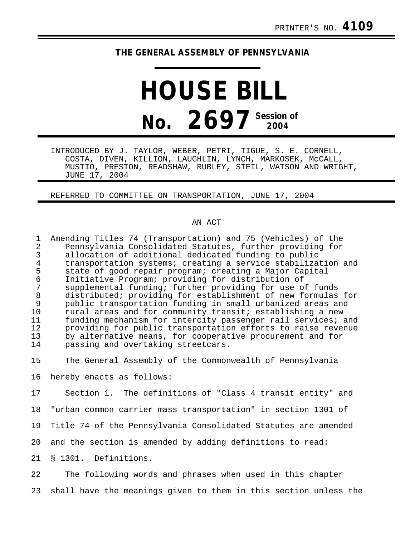## **THE GENERAL ASSEMBLY OF PENNSYLVANIA**

## **HOUSE BILL No. 2697 Session of 2004**

INTRODUCED BY J. TAYLOR, WEBER, PETRI, TIGUE, S. E. CORNELL, COSTA, DIVEN, KILLION, LAUGHLIN, LYNCH, MARKOSEK, McCALL, MUSTIO, PRESTON, READSHAW, RUBLEY, STEIL, WATSON AND WRIGHT, JUNE 17, 2004

REFERRED TO COMMITTEE ON TRANSPORTATION, JUNE 17, 2004

## AN ACT

1 Amending Titles 74 (Transportation) and 75 (Vehicles) of the 2 Pennsylvania Consolidated Statutes, further providing for 3 allocation of additional dedicated funding to public<br>4 transportation systems; creating a service stabilizat 4 transportation systems; creating a service stabilization and<br>5 state of good repair program; creating a Major Capital 5 state of good repair program; creating a Major Capital<br>6 Initiative Program; providing for distribution of 6 Initiative Program; providing for distribution of 7 supplemental funding; further providing for use of funds<br>8 distributed; providing for establishment of new formulas 8 distributed; providing for establishment of new formulas for<br>9 bublic transportation funding in small urbanized areas and 9 public transportation funding in small urbanized areas and<br>10 rural areas and for community transit; establishing a new 10 rural areas and for community transit; establishing a new<br>11 funding mechanism for intercity passenger rail services; 11 funding mechanism for intercity passenger rail services; and 12 providing for public transportation efforts to raise revenue<br>13 by alternative means, for cooperative procurement and for 13 by alternative means, for cooperative procurement and for<br>14 bassing and overtaking streetcars. passing and overtaking streetcars.

15 The General Assembly of the Commonwealth of Pennsylvania

16 hereby enacts as follows:

17 Section 1. The definitions of "Class 4 transit entity" and

18 "urban common carrier mass transportation" in section 1301 of

19 Title 74 of the Pennsylvania Consolidated Statutes are amended

20 and the section is amended by adding definitions to read:

21 § 1301. Definitions.

22 The following words and phrases when used in this chapter 23 shall have the meanings given to them in this section unless the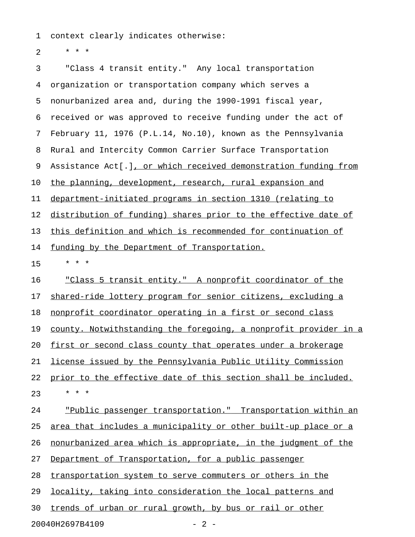1 context clearly indicates otherwise:

2  $* * * *$ 

3 "Class 4 transit entity." Any local transportation 4 organization or transportation company which serves a 5 nonurbanized area and, during the 1990-1991 fiscal year, 6 received or was approved to receive funding under the act of 7 February 11, 1976 (P.L.14, No.10), known as the Pennsylvania 8 Rural and Intercity Common Carrier Surface Transportation 9 Assistance Act[.], or which received demonstration funding from 10 the planning, development, research, rural expansion and 11 department-initiated programs in section 1310 (relating to 12 distribution of funding) shares prior to the effective date of 13 this definition and which is recommended for continuation of 14 funding by the Department of Transportation. 15 \* \* \* 16 "Class 5 transit entity." A nonprofit coordinator of the 17 shared-ride lottery program for senior citizens, excluding a 18 nonprofit coordinator operating in a first or second class 19 county. Notwithstanding the foregoing, a nonprofit provider in a 20 first or second class county that operates under a brokerage 21 license issued by the Pennsylvania Public Utility Commission 22 prior to the effective date of this section shall be included. 23 \* \* \* 24 Thublic passenger transportation." Transportation within an 25 <u>area that includes a municipality or other built-up place or a</u> 26 nonurbanized area which is appropriate, in the judgment of the 27 Department of Transportation, for a public passenger 28 transportation system to serve commuters or others in the 29 locality, taking into consideration the local patterns and 30 trends of urban or rural growth, by bus or rail or other 20040H2697B4109 - 2 -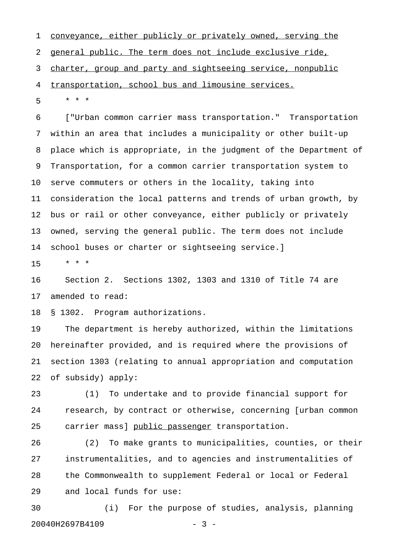1 conveyance, either publicly or privately owned, serving the 2 general public. The term does not include exclusive ride, 3 charter, group and party and sightseeing service, nonpublic 4 transportation, school bus and limousine services.

5 \* \* \*

6 ["Urban common carrier mass transportation." Transportation 7 within an area that includes a municipality or other built-up 8 place which is appropriate, in the judgment of the Department of 9 Transportation, for a common carrier transportation system to 10 serve commuters or others in the locality, taking into 11 consideration the local patterns and trends of urban growth, by 12 bus or rail or other conveyance, either publicly or privately 13 owned, serving the general public. The term does not include 14 school buses or charter or sightseeing service.]

15 \* \* \*

16 Section 2. Sections 1302, 1303 and 1310 of Title 74 are 17 amended to read:

18 § 1302. Program authorizations.

19 The department is hereby authorized, within the limitations 20 hereinafter provided, and is required where the provisions of 21 section 1303 (relating to annual appropriation and computation 22 of subsidy) apply:

23 (1) To undertake and to provide financial support for 24 research, by contract or otherwise, concerning [urban common 25 carrier mass] public passenger transportation.

26 (2) To make grants to municipalities, counties, or their 27 instrumentalities, and to agencies and instrumentalities of 28 the Commonwealth to supplement Federal or local or Federal 29 and local funds for use:

30 (i) For the purpose of studies, analysis, planning 20040H2697B4109 - 3 -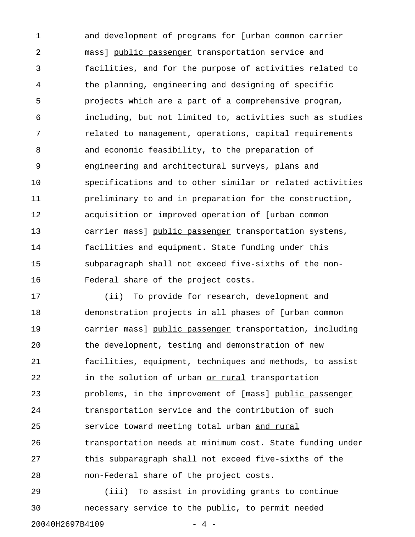1 and development of programs for [urban common carrier 2 mass] public passenger transportation service and 3 facilities, and for the purpose of activities related to 4 the planning, engineering and designing of specific 5 projects which are a part of a comprehensive program, 6 including, but not limited to, activities such as studies 7 related to management, operations, capital requirements 8 and economic feasibility, to the preparation of 9 engineering and architectural surveys, plans and 10 specifications and to other similar or related activities 11 preliminary to and in preparation for the construction, 12 acquisition or improved operation of [urban common 13 carrier mass] public passenger transportation systems, 14 facilities and equipment. State funding under this 15 subparagraph shall not exceed five-sixths of the non-16 Federal share of the project costs.

17 (ii) To provide for research, development and 18 demonstration projects in all phases of [urban common 19 carrier mass] public passenger transportation, including 20 the development, testing and demonstration of new 21 facilities, equipment, techniques and methods, to assist 22 in the solution of urban or rural transportation 23 problems, in the improvement of [mass] public passenger 24 transportation service and the contribution of such 25 service toward meeting total urban and rural 26 transportation needs at minimum cost. State funding under 27 this subparagraph shall not exceed five-sixths of the 28 non-Federal share of the project costs.

29 (iii) To assist in providing grants to continue 30 necessary service to the public, to permit needed 20040H2697B4109 - 4 -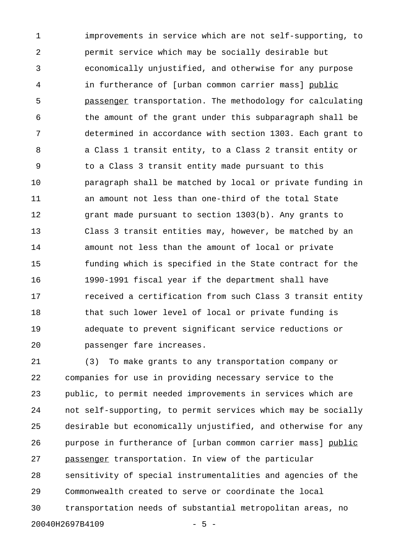1 improvements in service which are not self-supporting, to 2 permit service which may be socially desirable but 3 economically unjustified, and otherwise for any purpose 4 in furtherance of [urban common carrier mass] public 5 passenger transportation. The methodology for calculating \_\_\_\_\_\_\_\_\_ 6 the amount of the grant under this subparagraph shall be 7 determined in accordance with section 1303. Each grant to 8 a Class 1 transit entity, to a Class 2 transit entity or 9 to a Class 3 transit entity made pursuant to this 10 paragraph shall be matched by local or private funding in 11 an amount not less than one-third of the total State 12 grant made pursuant to section 1303(b). Any grants to 13 Class 3 transit entities may, however, be matched by an 14 amount not less than the amount of local or private 15 funding which is specified in the State contract for the 16 1990-1991 fiscal year if the department shall have 17 **17** received a certification from such Class 3 transit entity 18 that such lower level of local or private funding is 19 adequate to prevent significant service reductions or 20 passenger fare increases.

21 (3) To make grants to any transportation company or 22 companies for use in providing necessary service to the 23 public, to permit needed improvements in services which are 24 not self-supporting, to permit services which may be socially 25 desirable but economically unjustified, and otherwise for any 26 purpose in furtherance of [urban common carrier mass] public 27 passenger transportation. In view of the particular 28 sensitivity of special instrumentalities and agencies of the 29 Commonwealth created to serve or coordinate the local 30 transportation needs of substantial metropolitan areas, no 20040H2697B4109 - 5 -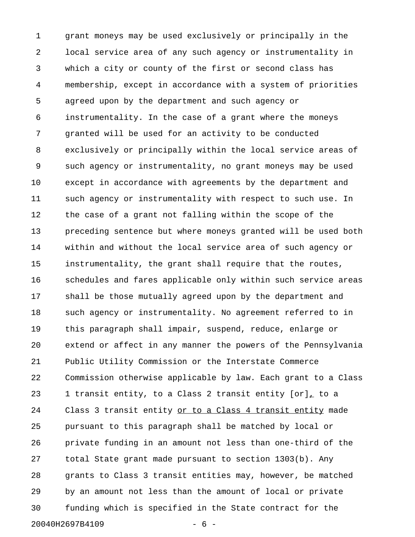1 grant moneys may be used exclusively or principally in the 2 local service area of any such agency or instrumentality in 3 which a city or county of the first or second class has 4 membership, except in accordance with a system of priorities 5 agreed upon by the department and such agency or 6 instrumentality. In the case of a grant where the moneys 7 granted will be used for an activity to be conducted 8 exclusively or principally within the local service areas of 9 such agency or instrumentality, no grant moneys may be used 10 except in accordance with agreements by the department and 11 such agency or instrumentality with respect to such use. In 12 the case of a grant not falling within the scope of the 13 preceding sentence but where moneys granted will be used both 14 within and without the local service area of such agency or 15 instrumentality, the grant shall require that the routes, 16 schedules and fares applicable only within such service areas 17 shall be those mutually agreed upon by the department and 18 such agency or instrumentality. No agreement referred to in 19 this paragraph shall impair, suspend, reduce, enlarge or 20 extend or affect in any manner the powers of the Pennsylvania 21 Public Utility Commission or the Interstate Commerce 22 Commission otherwise applicable by law. Each grant to a Class 23 1 transit entity, to a Class 2 transit entity [or], to a 24 Class 3 transit entity or to a Class 4 transit entity made 25 pursuant to this paragraph shall be matched by local or 26 private funding in an amount not less than one-third of the 27 total State grant made pursuant to section 1303(b). Any 28 grants to Class 3 transit entities may, however, be matched 29 by an amount not less than the amount of local or private 30 funding which is specified in the State contract for the 20040H2697B4109 - 6 -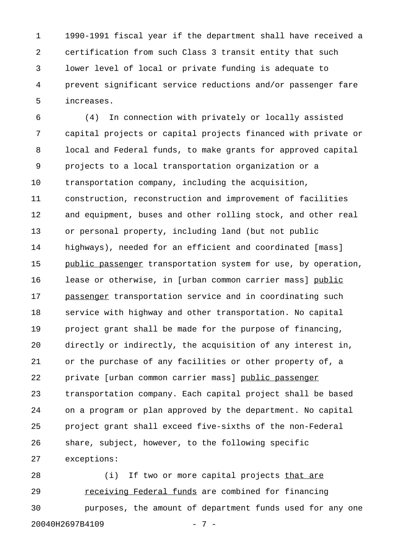1 1990-1991 fiscal year if the department shall have received a 2 certification from such Class 3 transit entity that such 3 lower level of local or private funding is adequate to 4 prevent significant service reductions and/or passenger fare 5 increases.

6 (4) In connection with privately or locally assisted 7 capital projects or capital projects financed with private or 8 local and Federal funds, to make grants for approved capital 9 projects to a local transportation organization or a 10 transportation company, including the acquisition, 11 construction, reconstruction and improvement of facilities 12 and equipment, buses and other rolling stock, and other real 13 or personal property, including land (but not public 14 highways), needed for an efficient and coordinated [mass] 15 public passenger transportation system for use, by operation, 16 lease or otherwise, in [urban common carrier mass] public \_\_\_\_\_\_ 17 passenger transportation service and in coordinating such 18 service with highway and other transportation. No capital 19 project grant shall be made for the purpose of financing, 20 directly or indirectly, the acquisition of any interest in, 21 or the purchase of any facilities or other property of, a 22 private [urban common carrier mass] public passenger \_\_\_\_\_\_\_\_\_\_\_\_\_\_\_\_ 23 transportation company. Each capital project shall be based 24 on a program or plan approved by the department. No capital 25 project grant shall exceed five-sixths of the non-Federal 26 share, subject, however, to the following specific 27 exceptions:

28 (i) If two or more capital projects that are 29 receiving Federal funds are combined for financing \_\_\_\_\_\_\_\_\_\_\_\_\_\_\_\_\_\_\_\_\_\_\_ 30 purposes, the amount of department funds used for any one 20040H2697B4109 - 7 -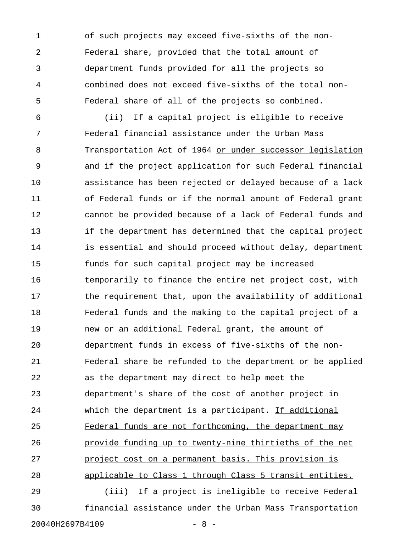1 of such projects may exceed five-sixths of the non-2 Federal share, provided that the total amount of 3 department funds provided for all the projects so 4 combined does not exceed five-sixths of the total non-5 Federal share of all of the projects so combined.

6 (ii) If a capital project is eligible to receive 7 Federal financial assistance under the Urban Mass 8 Transportation Act of 1964 or under successor legislation 9 and if the project application for such Federal financial 10 assistance has been rejected or delayed because of a lack 11 of Federal funds or if the normal amount of Federal grant 12 cannot be provided because of a lack of Federal funds and 13 if the department has determined that the capital project 14 is essential and should proceed without delay, department 15 funds for such capital project may be increased 16 temporarily to finance the entire net project cost, with 17 the requirement that, upon the availability of additional 18 Federal funds and the making to the capital project of a 19 new or an additional Federal grant, the amount of 20 department funds in excess of five-sixths of the non-21 Federal share be refunded to the department or be applied 22 as the department may direct to help meet the 23 department's share of the cost of another project in 24 which the department is a participant. If additional 25 Federal funds are not forthcoming, the department may 26 provide funding up to twenty-nine thirtieths of the net 27 project cost on a permanent basis. This provision is 28 applicable to Class 1 through Class 5 transit entities. 29 (iii) If a project is ineligible to receive Federal

30 financial assistance under the Urban Mass Transportation 20040H2697B4109 - 8 -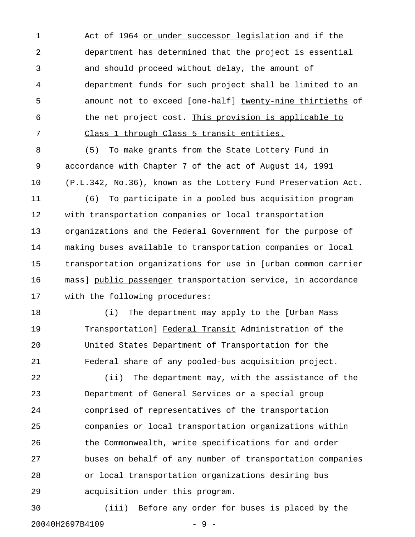1 Act of 1964 or under successor legislation and if the 2 department has determined that the project is essential 3 and should proceed without delay, the amount of 4 department funds for such project shall be limited to an 5 amount not to exceed [one-half] twenty-nine thirtieths of 6 the net project cost. This provision is applicable to 7 Class 1 through Class 5 transit entities.

8 (5) To make grants from the State Lottery Fund in 9 accordance with Chapter 7 of the act of August 14, 1991 10 (P.L.342, No.36), known as the Lottery Fund Preservation Act.

11 (6) To participate in a pooled bus acquisition program 12 with transportation companies or local transportation 13 organizations and the Federal Government for the purpose of 14 making buses available to transportation companies or local 15 transportation organizations for use in [urban common carrier 16 mass] public passenger transportation service, in accordance \_\_\_\_\_\_\_\_\_\_\_\_\_\_\_\_ 17 with the following procedures:

18 (i) The department may apply to the [Urban Mass 19 Transportation] Federal Transit Administration of the 20 United States Department of Transportation for the 21 Federal share of any pooled-bus acquisition project.

22 (ii) The department may, with the assistance of the 23 Department of General Services or a special group 24 comprised of representatives of the transportation 25 companies or local transportation organizations within 26 the Commonwealth, write specifications for and order 27 buses on behalf of any number of transportation companies 28 or local transportation organizations desiring bus 29 acquisition under this program.

30 (iii) Before any order for buses is placed by the 20040H2697B4109 - 9 -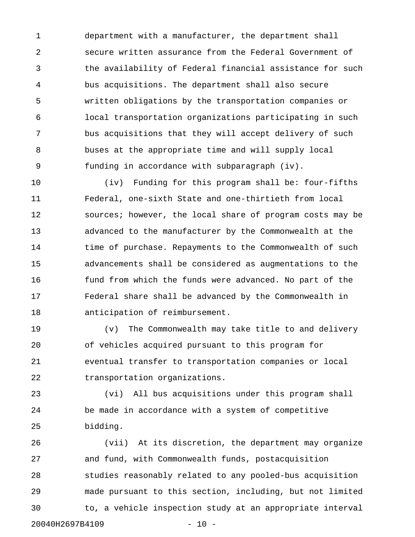1 department with a manufacturer, the department shall 2 secure written assurance from the Federal Government of 3 the availability of Federal financial assistance for such 4 bus acquisitions. The department shall also secure 5 written obligations by the transportation companies or 6 local transportation organizations participating in such 7 bus acquisitions that they will accept delivery of such 8 buses at the appropriate time and will supply local 9 funding in accordance with subparagraph (iv).

10 (iv) Funding for this program shall be: four-fifths 11 Federal, one-sixth State and one-thirtieth from local 12 sources; however, the local share of program costs may be 13 advanced to the manufacturer by the Commonwealth at the 14 time of purchase. Repayments to the Commonwealth of such 15 advancements shall be considered as augmentations to the 16 fund from which the funds were advanced. No part of the 17 Federal share shall be advanced by the Commonwealth in 18 anticipation of reimbursement.

19 (v) The Commonwealth may take title to and delivery 20 of vehicles acquired pursuant to this program for 21 eventual transfer to transportation companies or local 22 transportation organizations.

23 (vi) All bus acquisitions under this program shall 24 be made in accordance with a system of competitive 25 bidding.

26 (vii) At its discretion, the department may organize 27 and fund, with Commonwealth funds, postacquisition 28 studies reasonably related to any pooled-bus acquisition 29 made pursuant to this section, including, but not limited 30 to, a vehicle inspection study at an appropriate interval 20040H2697B4109 - 10 -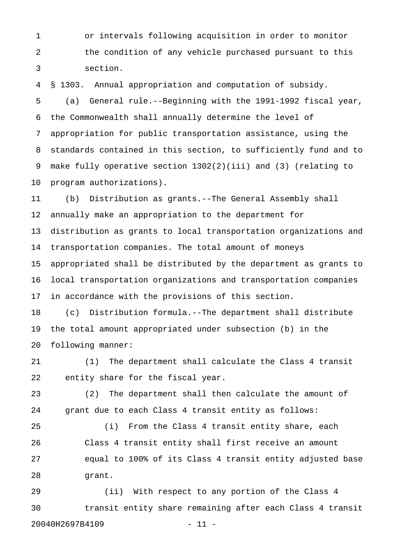1 or intervals following acquisition in order to monitor 2 the condition of any vehicle purchased pursuant to this 3 section.

4 § 1303. Annual appropriation and computation of subsidy. 5 (a) General rule.--Beginning with the 1991-1992 fiscal year, 6 the Commonwealth shall annually determine the level of 7 appropriation for public transportation assistance, using the 8 standards contained in this section, to sufficiently fund and to 9 make fully operative section 1302(2)(iii) and (3) (relating to 10 program authorizations).

11 (b) Distribution as grants.--The General Assembly shall 12 annually make an appropriation to the department for 13 distribution as grants to local transportation organizations and 14 transportation companies. The total amount of moneys 15 appropriated shall be distributed by the department as grants to 16 local transportation organizations and transportation companies 17 in accordance with the provisions of this section.

18 (c) Distribution formula.--The department shall distribute 19 the total amount appropriated under subsection (b) in the 20 following manner:

21 (1) The department shall calculate the Class 4 transit 22 entity share for the fiscal year.

23 (2) The department shall then calculate the amount of 24 grant due to each Class 4 transit entity as follows:

25 (i) From the Class 4 transit entity share, each 26 Class 4 transit entity shall first receive an amount 27 equal to 100% of its Class 4 transit entity adjusted base 28 grant.

29 (ii) With respect to any portion of the Class 4 30 transit entity share remaining after each Class 4 transit 20040H2697B4109 - 11 -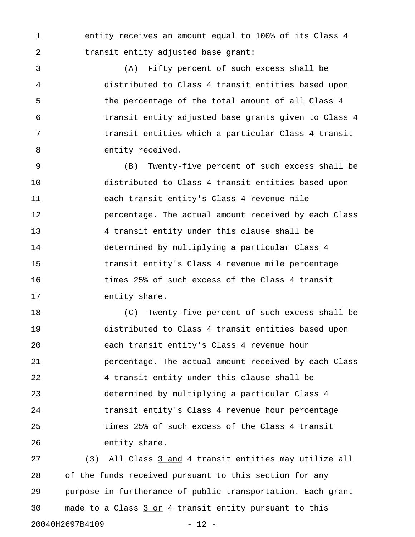1 entity receives an amount equal to 100% of its Class 4 2 transit entity adjusted base grant:

3 (A) Fifty percent of such excess shall be 4 distributed to Class 4 transit entities based upon 5 the percentage of the total amount of all Class 4 6 transit entity adjusted base grants given to Class 4 7 transit entities which a particular Class 4 transit 8 entity received.

9 (B) Twenty-five percent of such excess shall be 10 distributed to Class 4 transit entities based upon 11 each transit entity's Class 4 revenue mile 12 percentage. The actual amount received by each Class 13 4 transit entity under this clause shall be 14 determined by multiplying a particular Class 4 15 transit entity's Class 4 revenue mile percentage 16 times 25% of such excess of the Class 4 transit 17 entity share.

18 (C) Twenty-five percent of such excess shall be 19 distributed to Class 4 transit entities based upon 20 each transit entity's Class 4 revenue hour 21 percentage. The actual amount received by each Class 22 4 transit entity under this clause shall be 23 determined by multiplying a particular Class 4 24 transit entity's Class 4 revenue hour percentage 25 times 25% of such excess of the Class 4 transit 26 entity share.

27 (3) All Class 3 and 4 transit entities may utilize all 28 of the funds received pursuant to this section for any 29 purpose in furtherance of public transportation. Each grant 30 made to a Class 3 or 4 transit entity pursuant to this 20040H2697B4109 - 12 -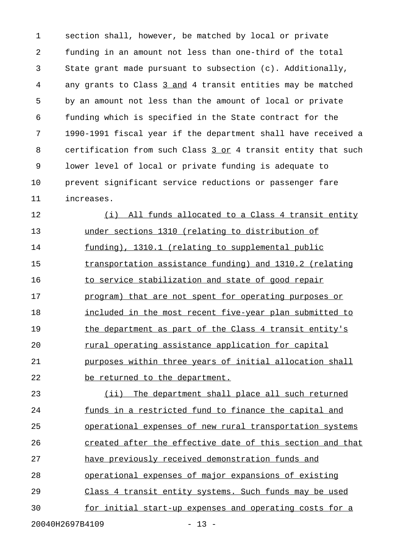1 section shall, however, be matched by local or private 2 funding in an amount not less than one-third of the total 3 State grant made pursuant to subsection (c). Additionally, 4 any grants to Class 3 and 4 transit entities may be matched 5 by an amount not less than the amount of local or private 6 funding which is specified in the State contract for the 7 1990-1991 fiscal year if the department shall have received a 8 certification from such Class 3 or 4 transit entity that such 9 lower level of local or private funding is adequate to 10 prevent significant service reductions or passenger fare 11 increases.

12 (i) All funds allocated to a Class 4 transit entity 13 under sections 1310 (relating to distribution of 14 funding), 1310.1 (relating to supplemental public 15 transportation assistance funding) and 1310.2 (relating 16 to service stabilization and state of good repair 17 program) that are not spent for operating purposes or 18 included in the most recent five-year plan submitted to 19 the department as part of the Class 4 transit entity's 20 rural operating assistance application for capital 21 purposes within three years of initial allocation shall 22 be returned to the department.

23 (ii) The department shall place all such returned 24 funds in a restricted fund to finance the capital and 25 operational expenses of new rural transportation systems 26 created after the effective date of this section and that 27 have previously received demonstration funds and 28 operational expenses of major expansions of existing 29 Class 4 transit entity systems. Such funds may be used 30 for initial start-up expenses and operating costs for a

20040H2697B4109 - 13 -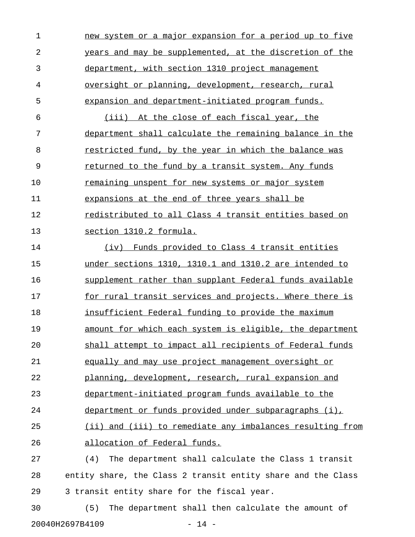| 1         | new system or a major expansion for a period up to five       |
|-----------|---------------------------------------------------------------|
| 2         | years and may be supplemented, at the discretion of the       |
| 3         | department, with section 1310 project management              |
| 4         | oversight or planning, development, research, rural           |
| 5         | expansion and department-initiated program funds.             |
| 6         | (iii) At the close of each fiscal year, the                   |
| 7         | department shall calculate the remaining balance in the       |
| 8         | restricted fund, by the year in which the balance was         |
| 9         | returned to the fund by a transit system. Any funds           |
| 10        | <u>remaining unspent for new systems or major system</u>      |
| 11        | expansions at the end of three years shall be                 |
| 12        | <u>redistributed to all Class 4 transit entities based on</u> |
| 13        | section 1310.2 formula.                                       |
| 14        | (iv) Funds provided to Class 4 transit entities               |
| 15        | under sections 1310, 1310.1 and 1310.2 are intended to        |
| 16        | supplement rather than supplant Federal funds available       |
| 17        | for rural transit services and projects. Where there is       |
| 18        | insufficient Federal funding to provide the maximum           |
| 19        | amount for which each system is eligible, the department      |
| 20        | shall attempt to impact all recipients of Federal funds       |
| 21        | equally and may use project management oversight or           |
| 22        | planning, development, research, rural expansion and          |
| 23        | department-initiated program funds available to the           |
| 24        | department or funds provided under subparagraphs (i),         |
| 25        | (ii) and (iii) to remediate any imbalances resulting from     |
| 26        | allocation of Federal funds.                                  |
| 27        | The department shall calculate the Class 1 transit<br>(4)     |
| 28        | entity share, the Class 2 transit entity share and the Class  |
| 29        | 3 transit entity share for the fiscal year.                   |
| $\bigcap$ |                                                               |

30 (5) The department shall then calculate the amount of 20040H2697B4109 - 14 -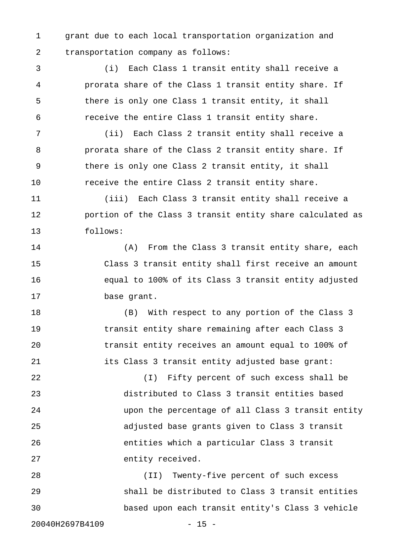1 grant due to each local transportation organization and 2 transportation company as follows:

3 (i) Each Class 1 transit entity shall receive a 4 prorata share of the Class 1 transit entity share. If 5 there is only one Class 1 transit entity, it shall 6 receive the entire Class 1 transit entity share.

7 (ii) Each Class 2 transit entity shall receive a 8 prorata share of the Class 2 transit entity share. If 9 there is only one Class 2 transit entity, it shall 10 receive the entire Class 2 transit entity share.

11 (iii) Each Class 3 transit entity shall receive a 12 portion of the Class 3 transit entity share calculated as 13 follows:

14 (A) From the Class 3 transit entity share, each 15 Class 3 transit entity shall first receive an amount 16 equal to 100% of its Class 3 transit entity adjusted 17 base grant.

18 (B) With respect to any portion of the Class 3 19 transit entity share remaining after each Class 3 20 transit entity receives an amount equal to 100% of 21 its Class 3 transit entity adjusted base grant:

22 (I) Fifty percent of such excess shall be 23 distributed to Class 3 transit entities based 24 upon the percentage of all Class 3 transit entity 25 adjusted base grants given to Class 3 transit 26 entities which a particular Class 3 transit 27 entity received.

28 (II) Twenty-five percent of such excess 29 shall be distributed to Class 3 transit entities 30 based upon each transit entity's Class 3 vehicle

20040H2697B4109 - 15 -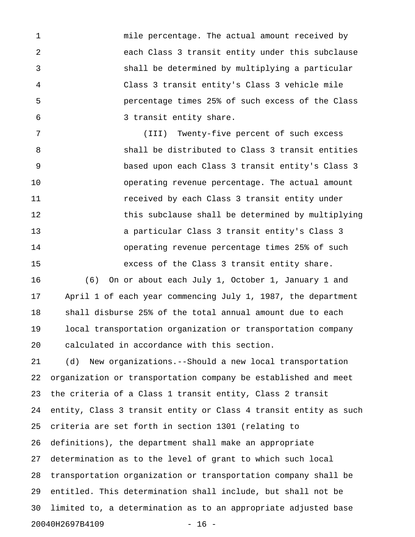1 mile percentage. The actual amount received by 2 each Class 3 transit entity under this subclause 3 shall be determined by multiplying a particular 4 Class 3 transit entity's Class 3 vehicle mile 5 percentage times 25% of such excess of the Class 6 3 transit entity share.

7 (III) Twenty-five percent of such excess 8 shall be distributed to Class 3 transit entities 9 based upon each Class 3 transit entity's Class 3 10 operating revenue percentage. The actual amount 11 received by each Class 3 transit entity under 12 this subclause shall be determined by multiplying 13 a particular Class 3 transit entity's Class 3 14 operating revenue percentage times 25% of such 15 excess of the Class 3 transit entity share.

16 (6) On or about each July 1, October 1, January 1 and 17 April 1 of each year commencing July 1, 1987, the department 18 shall disburse 25% of the total annual amount due to each 19 local transportation organization or transportation company 20 calculated in accordance with this section.

21 (d) New organizations.--Should a new local transportation 22 organization or transportation company be established and meet 23 the criteria of a Class 1 transit entity, Class 2 transit 24 entity, Class 3 transit entity or Class 4 transit entity as such 25 criteria are set forth in section 1301 (relating to 26 definitions), the department shall make an appropriate 27 determination as to the level of grant to which such local 28 transportation organization or transportation company shall be 29 entitled. This determination shall include, but shall not be 30 limited to, a determination as to an appropriate adjusted base 20040H2697B4109 - 16 -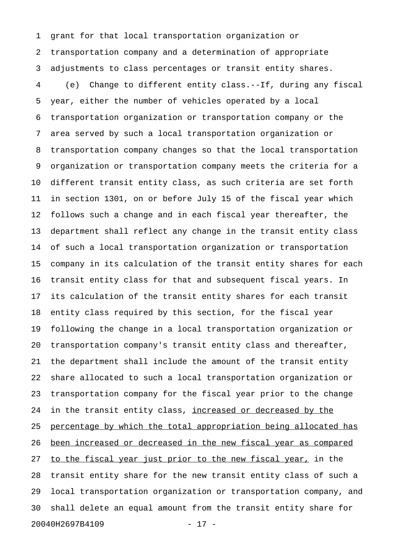1 grant for that local transportation organization or 2 transportation company and a determination of appropriate 3 adjustments to class percentages or transit entity shares. 4 (e) Change to different entity class.--If, during any fiscal 5 year, either the number of vehicles operated by a local 6 transportation organization or transportation company or the 7 area served by such a local transportation organization or 8 transportation company changes so that the local transportation 9 organization or transportation company meets the criteria for a 10 different transit entity class, as such criteria are set forth 11 in section 1301, on or before July 15 of the fiscal year which 12 follows such a change and in each fiscal year thereafter, the 13 department shall reflect any change in the transit entity class 14 of such a local transportation organization or transportation 15 company in its calculation of the transit entity shares for each 16 transit entity class for that and subsequent fiscal years. In 17 its calculation of the transit entity shares for each transit 18 entity class required by this section, for the fiscal year 19 following the change in a local transportation organization or 20 transportation company's transit entity class and thereafter, 21 the department shall include the amount of the transit entity 22 share allocated to such a local transportation organization or 23 transportation company for the fiscal year prior to the change 24 in the transit entity class, increased or decreased by the 25 percentage by which the total appropriation being allocated has 26 <u>been increased or decreased in the new fiscal year as compared</u> 27 to the fiscal year just prior to the new fiscal year, in the 28 transit entity share for the new transit entity class of such a 29 local transportation organization or transportation company, and 30 shall delete an equal amount from the transit entity share for 20040H2697B4109 - 17 -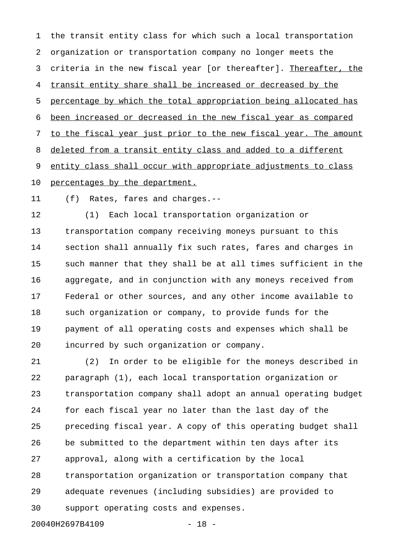1 the transit entity class for which such a local transportation 2 organization or transportation company no longer meets the 3 criteria in the new fiscal year [or thereafter]. Thereafter, the 4 transit entity share shall be increased or decreased by the 5 percentage by which the total appropriation being allocated has 6 been increased or decreased in the new fiscal year as compared 7 to the fiscal year just prior to the new fiscal year. The amount 8 deleted from a transit entity class and added to a different 9 entity class shall occur with appropriate adjustments to class 10 percentages by the department.

11 (f) Rates, fares and charges.--

12 (1) Each local transportation organization or 13 transportation company receiving moneys pursuant to this 14 section shall annually fix such rates, fares and charges in 15 such manner that they shall be at all times sufficient in the 16 aggregate, and in conjunction with any moneys received from 17 Federal or other sources, and any other income available to 18 such organization or company, to provide funds for the 19 payment of all operating costs and expenses which shall be 20 incurred by such organization or company.

21 (2) In order to be eligible for the moneys described in 22 paragraph (1), each local transportation organization or 23 transportation company shall adopt an annual operating budget 24 for each fiscal year no later than the last day of the 25 preceding fiscal year. A copy of this operating budget shall 26 be submitted to the department within ten days after its 27 approval, along with a certification by the local 28 transportation organization or transportation company that 29 adequate revenues (including subsidies) are provided to 30 support operating costs and expenses. 20040H2697B4109 - 18 -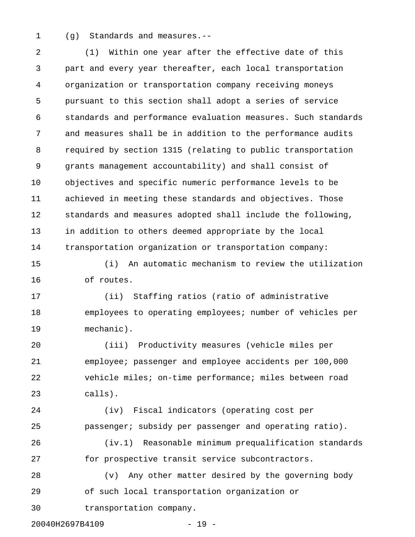1 (g) Standards and measures.--

2 (1) Within one year after the effective date of this 3 part and every year thereafter, each local transportation 4 organization or transportation company receiving moneys 5 pursuant to this section shall adopt a series of service 6 standards and performance evaluation measures. Such standards 7 and measures shall be in addition to the performance audits 8 required by section 1315 (relating to public transportation 9 grants management accountability) and shall consist of 10 objectives and specific numeric performance levels to be 11 achieved in meeting these standards and objectives. Those 12 standards and measures adopted shall include the following, 13 in addition to others deemed appropriate by the local 14 transportation organization or transportation company:

15 (i) An automatic mechanism to review the utilization 16 of routes.

17 (ii) Staffing ratios (ratio of administrative 18 employees to operating employees; number of vehicles per 19 mechanic).

20 (iii) Productivity measures (vehicle miles per 21 employee; passenger and employee accidents per 100,000 22 vehicle miles; on-time performance; miles between road 23 calls).

24 (iv) Fiscal indicators (operating cost per 25 passenger; subsidy per passenger and operating ratio).

26 (iv.1) Reasonable minimum prequalification standards 27 for prospective transit service subcontractors.

28 (v) Any other matter desired by the governing body 29 of such local transportation organization or

30 transportation company.

20040H2697B4109 - 19 -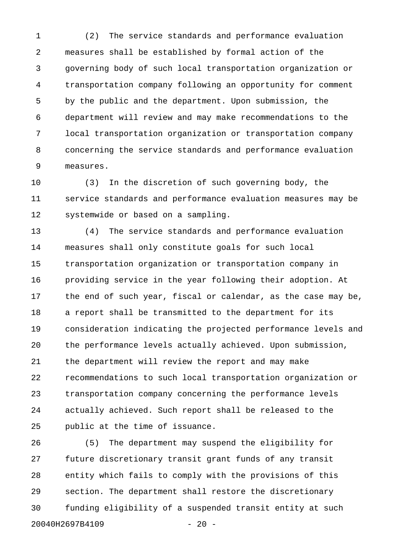1 (2) The service standards and performance evaluation 2 measures shall be established by formal action of the 3 governing body of such local transportation organization or 4 transportation company following an opportunity for comment 5 by the public and the department. Upon submission, the 6 department will review and may make recommendations to the 7 local transportation organization or transportation company 8 concerning the service standards and performance evaluation 9 measures.

10 (3) In the discretion of such governing body, the 11 service standards and performance evaluation measures may be 12 systemwide or based on a sampling.

13 (4) The service standards and performance evaluation 14 measures shall only constitute goals for such local 15 transportation organization or transportation company in 16 providing service in the year following their adoption. At 17 the end of such year, fiscal or calendar, as the case may be, 18 a report shall be transmitted to the department for its 19 consideration indicating the projected performance levels and 20 the performance levels actually achieved. Upon submission, 21 the department will review the report and may make 22 recommendations to such local transportation organization or 23 transportation company concerning the performance levels 24 actually achieved. Such report shall be released to the 25 public at the time of issuance.

26 (5) The department may suspend the eligibility for 27 future discretionary transit grant funds of any transit 28 entity which fails to comply with the provisions of this 29 section. The department shall restore the discretionary 30 funding eligibility of a suspended transit entity at such 20040H2697B4109 - 20 -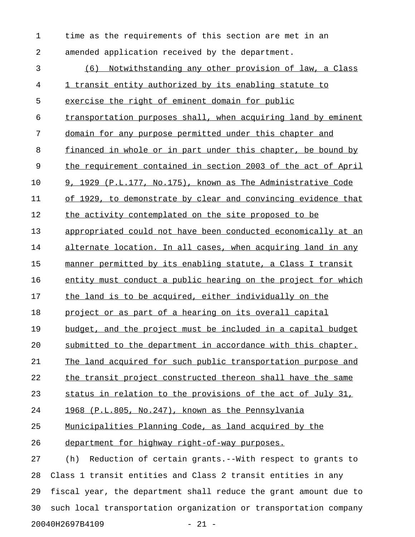1 time as the requirements of this section are met in an 2 amended application received by the department. 3 (6) Notwithstanding any other provision of law, a Class 4 1 transit entity authorized by its enabling statute to 5 exercise the right of eminent domain for public 6 transportation purposes shall, when acquiring land by eminent 7 domain for any purpose permitted under this chapter and 8 financed in whole or in part under this chapter, be bound by 9 the requirement contained in section 2003 of the act of April  $10$  9, 1929 (P.L.177, No.175), known as The Administrative Code 11 of 1929, to demonstrate by clear and convincing evidence that 12 the activity contemplated on the site proposed to be 13 appropriated could not have been conducted economically at an 14 alternate location. In all cases, when acquiring land in any 15 manner permitted by its enabling statute, a Class I transit 16 entity must conduct a public hearing on the project for which 17 the land is to be acquired, either individually on the 18 project or as part of a hearing on its overall capital 19 budget, and the project must be included in a capital budget 20 submitted to the department in accordance with this chapter. 21 The land acquired for such public transportation purpose and 22 the transit project constructed thereon shall have the same 23 status in relation to the provisions of the act of July 31, 24 1968 (P.L.805, No.247), known as the Pennsylvania 25 Municipalities Planning Code, as land acquired by the 26 department for highway right-of-way purposes. 27 (h) Reduction of certain grants.--With respect to grants to 28 Class 1 transit entities and Class 2 transit entities in any 29 fiscal year, the department shall reduce the grant amount due to

20040H2697B4109 - 21 -

30 such local transportation organization or transportation company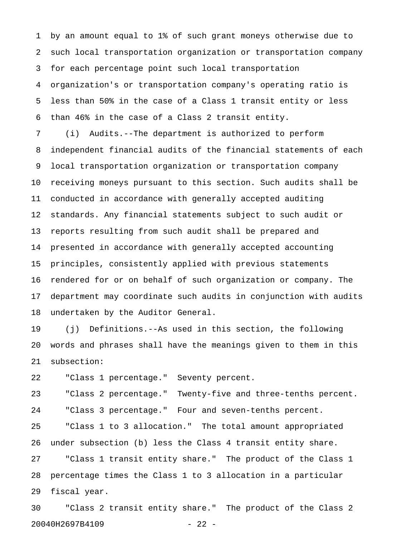1 by an amount equal to 1% of such grant moneys otherwise due to 2 such local transportation organization or transportation company 3 for each percentage point such local transportation 4 organization's or transportation company's operating ratio is 5 less than 50% in the case of a Class 1 transit entity or less 6 than 46% in the case of a Class 2 transit entity.

7 (i) Audits.--The department is authorized to perform 8 independent financial audits of the financial statements of each 9 local transportation organization or transportation company 10 receiving moneys pursuant to this section. Such audits shall be 11 conducted in accordance with generally accepted auditing 12 standards. Any financial statements subject to such audit or 13 reports resulting from such audit shall be prepared and 14 presented in accordance with generally accepted accounting 15 principles, consistently applied with previous statements 16 rendered for or on behalf of such organization or company. The 17 department may coordinate such audits in conjunction with audits 18 undertaken by the Auditor General.

19 (j) Definitions.--As used in this section, the following 20 words and phrases shall have the meanings given to them in this 21 subsection:

22 "Class 1 percentage." Seventy percent.

23 "Class 2 percentage." Twenty-five and three-tenths percent. 24 "Class 3 percentage." Four and seven-tenths percent.

25 "Class 1 to 3 allocation." The total amount appropriated 26 under subsection (b) less the Class 4 transit entity share. 27 "Class 1 transit entity share." The product of the Class 1 28 percentage times the Class 1 to 3 allocation in a particular 29 fiscal year.

30 "Class 2 transit entity share." The product of the Class 2 20040H2697B4109 - 22 -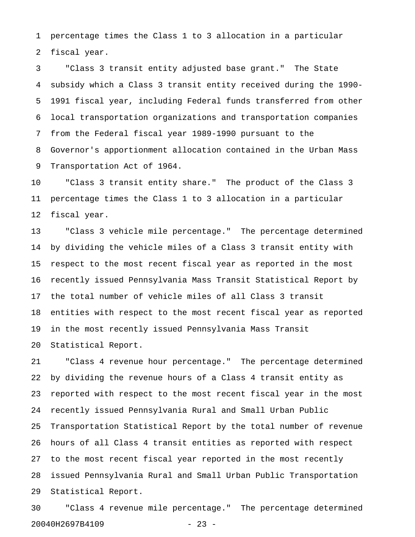1 percentage times the Class 1 to 3 allocation in a particular 2 fiscal year.

3 "Class 3 transit entity adjusted base grant." The State 4 subsidy which a Class 3 transit entity received during the 1990- 5 1991 fiscal year, including Federal funds transferred from other 6 local transportation organizations and transportation companies 7 from the Federal fiscal year 1989-1990 pursuant to the 8 Governor's apportionment allocation contained in the Urban Mass 9 Transportation Act of 1964.

10 "Class 3 transit entity share." The product of the Class 3 11 percentage times the Class 1 to 3 allocation in a particular 12 fiscal year.

13 "Class 3 vehicle mile percentage." The percentage determined 14 by dividing the vehicle miles of a Class 3 transit entity with 15 respect to the most recent fiscal year as reported in the most 16 recently issued Pennsylvania Mass Transit Statistical Report by 17 the total number of vehicle miles of all Class 3 transit 18 entities with respect to the most recent fiscal year as reported 19 in the most recently issued Pennsylvania Mass Transit 20 Statistical Report.

21 "Class 4 revenue hour percentage." The percentage determined 22 by dividing the revenue hours of a Class 4 transit entity as 23 reported with respect to the most recent fiscal year in the most 24 recently issued Pennsylvania Rural and Small Urban Public 25 Transportation Statistical Report by the total number of revenue 26 hours of all Class 4 transit entities as reported with respect 27 to the most recent fiscal year reported in the most recently 28 issued Pennsylvania Rural and Small Urban Public Transportation 29 Statistical Report.

30 "Class 4 revenue mile percentage." The percentage determined 20040H2697B4109 - 23 -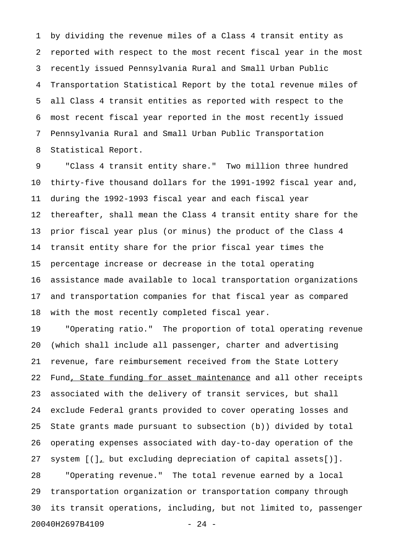1 by dividing the revenue miles of a Class 4 transit entity as 2 reported with respect to the most recent fiscal year in the most 3 recently issued Pennsylvania Rural and Small Urban Public 4 Transportation Statistical Report by the total revenue miles of 5 all Class 4 transit entities as reported with respect to the 6 most recent fiscal year reported in the most recently issued 7 Pennsylvania Rural and Small Urban Public Transportation 8 Statistical Report.

9 "Class 4 transit entity share." Two million three hundred 10 thirty-five thousand dollars for the 1991-1992 fiscal year and, 11 during the 1992-1993 fiscal year and each fiscal year 12 thereafter, shall mean the Class 4 transit entity share for the 13 prior fiscal year plus (or minus) the product of the Class 4 14 transit entity share for the prior fiscal year times the 15 percentage increase or decrease in the total operating 16 assistance made available to local transportation organizations 17 and transportation companies for that fiscal year as compared 18 with the most recently completed fiscal year.

19 "Operating ratio." The proportion of total operating revenue 20 (which shall include all passenger, charter and advertising 21 revenue, fare reimbursement received from the State Lottery 22 Fund, State funding for asset maintenance and all other receipts 23 associated with the delivery of transit services, but shall 24 exclude Federal grants provided to cover operating losses and 25 State grants made pursuant to subsection (b)) divided by total 26 operating expenses associated with day-to-day operation of the 27 system  $[(\cdot)]_L$  but excluding depreciation of capital assets $[ \cdot ]$ . 28 "Operating revenue." The total revenue earned by a local 29 transportation organization or transportation company through 30 its transit operations, including, but not limited to, passenger 20040H2697B4109 - 24 -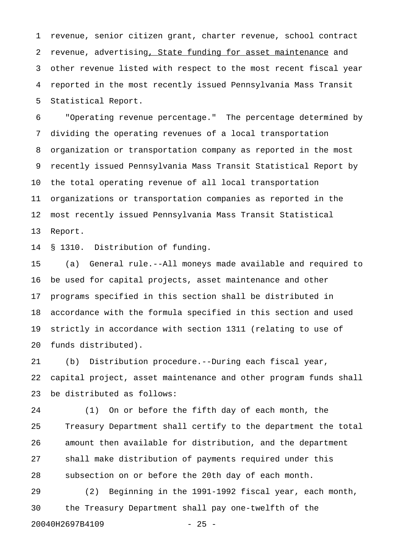1 revenue, senior citizen grant, charter revenue, school contract 2 revenue, advertising, State funding for asset maintenance and 3 other revenue listed with respect to the most recent fiscal year 4 reported in the most recently issued Pennsylvania Mass Transit 5 Statistical Report.

6 "Operating revenue percentage." The percentage determined by 7 dividing the operating revenues of a local transportation 8 organization or transportation company as reported in the most 9 recently issued Pennsylvania Mass Transit Statistical Report by 10 the total operating revenue of all local transportation 11 organizations or transportation companies as reported in the 12 most recently issued Pennsylvania Mass Transit Statistical 13 Report.

14 § 1310. Distribution of funding.

15 (a) General rule.--All moneys made available and required to 16 be used for capital projects, asset maintenance and other 17 programs specified in this section shall be distributed in 18 accordance with the formula specified in this section and used 19 strictly in accordance with section 1311 (relating to use of 20 funds distributed).

21 (b) Distribution procedure.--During each fiscal year, 22 capital project, asset maintenance and other program funds shall 23 be distributed as follows:

24 (1) On or before the fifth day of each month, the 25 Treasury Department shall certify to the department the total 26 amount then available for distribution, and the department 27 shall make distribution of payments required under this 28 subsection on or before the 20th day of each month.

29 (2) Beginning in the 1991-1992 fiscal year, each month, 30 the Treasury Department shall pay one-twelfth of the 20040H2697B4109 - 25 -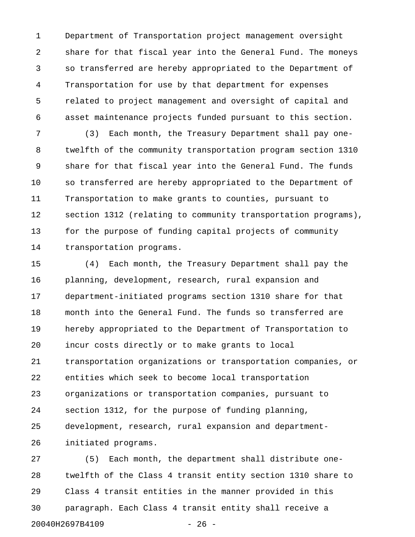1 Department of Transportation project management oversight 2 share for that fiscal year into the General Fund. The moneys 3 so transferred are hereby appropriated to the Department of 4 Transportation for use by that department for expenses 5 related to project management and oversight of capital and 6 asset maintenance projects funded pursuant to this section.

7 (3) Each month, the Treasury Department shall pay one-8 twelfth of the community transportation program section 1310 9 share for that fiscal year into the General Fund. The funds 10 so transferred are hereby appropriated to the Department of 11 Transportation to make grants to counties, pursuant to 12 section 1312 (relating to community transportation programs), 13 for the purpose of funding capital projects of community 14 transportation programs.

15 (4) Each month, the Treasury Department shall pay the 16 planning, development, research, rural expansion and 17 department-initiated programs section 1310 share for that 18 month into the General Fund. The funds so transferred are 19 hereby appropriated to the Department of Transportation to 20 incur costs directly or to make grants to local 21 transportation organizations or transportation companies, or 22 entities which seek to become local transportation 23 organizations or transportation companies, pursuant to 24 section 1312, for the purpose of funding planning, 25 development, research, rural expansion and department-26 initiated programs.

27 (5) Each month, the department shall distribute one-28 twelfth of the Class 4 transit entity section 1310 share to 29 Class 4 transit entities in the manner provided in this 30 paragraph. Each Class 4 transit entity shall receive a 20040H2697B4109 - 26 -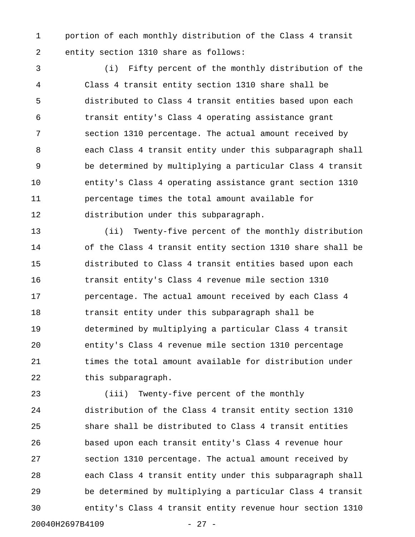1 portion of each monthly distribution of the Class 4 transit 2 entity section 1310 share as follows:

3 (i) Fifty percent of the monthly distribution of the 4 Class 4 transit entity section 1310 share shall be 5 distributed to Class 4 transit entities based upon each 6 transit entity's Class 4 operating assistance grant 7 section 1310 percentage. The actual amount received by 8 each Class 4 transit entity under this subparagraph shall 9 be determined by multiplying a particular Class 4 transit 10 entity's Class 4 operating assistance grant section 1310 11 percentage times the total amount available for 12 distribution under this subparagraph.

13 (ii) Twenty-five percent of the monthly distribution 14 of the Class 4 transit entity section 1310 share shall be 15 distributed to Class 4 transit entities based upon each 16 transit entity's Class 4 revenue mile section 1310 17 **percentage.** The actual amount received by each Class 4 18 transit entity under this subparagraph shall be 19 determined by multiplying a particular Class 4 transit 20 entity's Class 4 revenue mile section 1310 percentage 21 times the total amount available for distribution under 22 this subparagraph.

23 (iii) Twenty-five percent of the monthly 24 distribution of the Class 4 transit entity section 1310 25 share shall be distributed to Class 4 transit entities 26 based upon each transit entity's Class 4 revenue hour 27 section 1310 percentage. The actual amount received by 28 each Class 4 transit entity under this subparagraph shall 29 be determined by multiplying a particular Class 4 transit 30 entity's Class 4 transit entity revenue hour section 1310 20040H2697B4109 - 27 -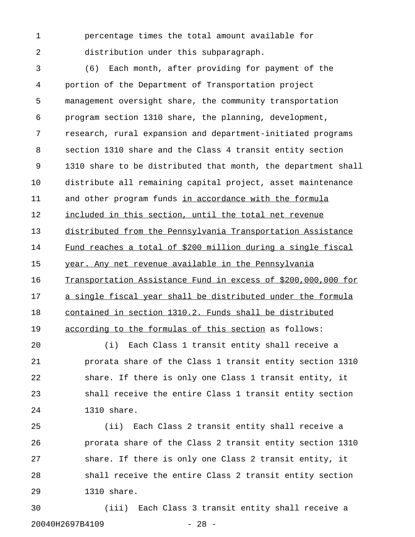1 percentage times the total amount available for 2 distribution under this subparagraph.

3 (6) Each month, after providing for payment of the 4 portion of the Department of Transportation project 5 management oversight share, the community transportation 6 program section 1310 share, the planning, development, 7 research, rural expansion and department-initiated programs 8 section 1310 share and the Class 4 transit entity section 9 1310 share to be distributed that month, the department shall 10 distribute all remaining capital project, asset maintenance 11 and other program funds in accordance with the formula 12 included in this section, until the total net revenue 13 distributed from the Pennsylvania Transportation Assistance 14 Fund reaches a total of \$200 million during a single fiscal 15 year. Any net revenue available in the Pennsylvania 16 Transportation Assistance Fund in excess of \$200,000,000 for 17 a single fiscal year shall be distributed under the formula 18 contained in section 1310.2. Funds shall be distributed 19 according to the formulas of this section as follows:

20 (i) Each Class 1 transit entity shall receive a 21 prorata share of the Class 1 transit entity section 1310 22 share. If there is only one Class 1 transit entity, it 23 shall receive the entire Class 1 transit entity section 24 1310 share.

25 (ii) Each Class 2 transit entity shall receive a 26 prorata share of the Class 2 transit entity section 1310 27 share. If there is only one Class 2 transit entity, it 28 shall receive the entire Class 2 transit entity section 29 1310 share.

30 (iii) Each Class 3 transit entity shall receive a 20040H2697B4109 - 28 -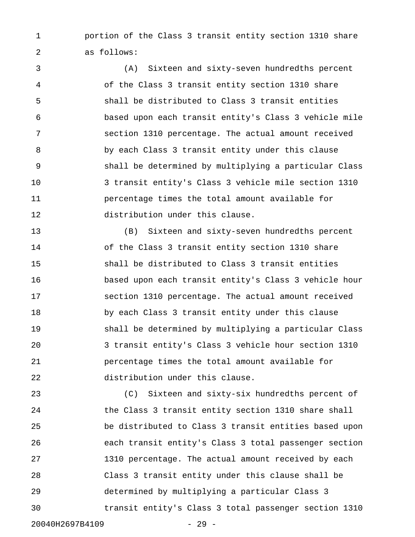1 portion of the Class 3 transit entity section 1310 share 2 as follows:

3 (A) Sixteen and sixty-seven hundredths percent 4 of the Class 3 transit entity section 1310 share 5 shall be distributed to Class 3 transit entities 6 based upon each transit entity's Class 3 vehicle mile 7 section 1310 percentage. The actual amount received 8 by each Class 3 transit entity under this clause 9 shall be determined by multiplying a particular Class 10 3 transit entity's Class 3 vehicle mile section 1310 11 percentage times the total amount available for 12 distribution under this clause.

13 (B) Sixteen and sixty-seven hundredths percent 14 of the Class 3 transit entity section 1310 share 15 shall be distributed to Class 3 transit entities 16 based upon each transit entity's Class 3 vehicle hour 17 section 1310 percentage. The actual amount received 18 by each Class 3 transit entity under this clause 19 shall be determined by multiplying a particular Class 20 3 transit entity's Class 3 vehicle hour section 1310 21 percentage times the total amount available for 22 distribution under this clause.

23 (C) Sixteen and sixty-six hundredths percent of 24 the Class 3 transit entity section 1310 share shall 25 be distributed to Class 3 transit entities based upon 26 each transit entity's Class 3 total passenger section 27 1310 percentage. The actual amount received by each 28 Class 3 transit entity under this clause shall be 29 determined by multiplying a particular Class 3 30 transit entity's Class 3 total passenger section 1310 20040H2697B4109 - 29 -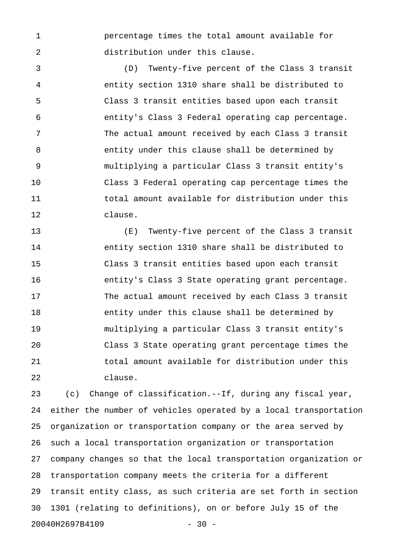1 percentage times the total amount available for 2 distribution under this clause.

3 (D) Twenty-five percent of the Class 3 transit 4 entity section 1310 share shall be distributed to 5 Class 3 transit entities based upon each transit 6 entity's Class 3 Federal operating cap percentage. 7 The actual amount received by each Class 3 transit 8 entity under this clause shall be determined by 9 multiplying a particular Class 3 transit entity's 10 Class 3 Federal operating cap percentage times the 11 total amount available for distribution under this 12 clause.

13 (E) Twenty-five percent of the Class 3 transit 14 entity section 1310 share shall be distributed to 15 Class 3 transit entities based upon each transit 16 entity's Class 3 State operating grant percentage. 17 The actual amount received by each Class 3 transit 18 entity under this clause shall be determined by 19 multiplying a particular Class 3 transit entity's 20 Class 3 State operating grant percentage times the 21 total amount available for distribution under this 22 clause.

23 (c) Change of classification.--If, during any fiscal year, 24 either the number of vehicles operated by a local transportation 25 organization or transportation company or the area served by 26 such a local transportation organization or transportation 27 company changes so that the local transportation organization or 28 transportation company meets the criteria for a different 29 transit entity class, as such criteria are set forth in section 30 1301 (relating to definitions), on or before July 15 of the 20040H2697B4109 - 30 -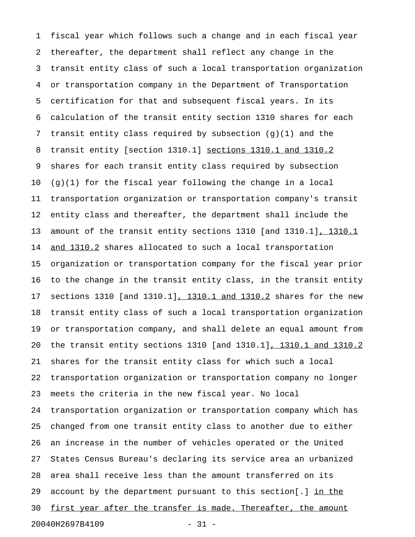1 fiscal year which follows such a change and in each fiscal year 2 thereafter, the department shall reflect any change in the 3 transit entity class of such a local transportation organization 4 or transportation company in the Department of Transportation 5 certification for that and subsequent fiscal years. In its 6 calculation of the transit entity section 1310 shares for each 7 transit entity class required by subsection (g)(1) and the 8 transit entity [section 1310.1] sections 1310.1 and 1310.2 9 shares for each transit entity class required by subsection 10  $(g)(1)$  for the fiscal year following the change in a local 11 transportation organization or transportation company's transit 12 entity class and thereafter, the department shall include the 13 amount of the transit entity sections 1310 [and 1310.1], 1310.1 14 and 1310.2 shares allocated to such a local transportation 15 organization or transportation company for the fiscal year prior 16 to the change in the transit entity class, in the transit entity 17 sections 1310 [and 1310.1], 1310.1 and 1310.2 shares for the new 18 transit entity class of such a local transportation organization 19 or transportation company, and shall delete an equal amount from 20 the transit entity sections 1310 [and 1310.1], 1310.1 and 1310.2 21 shares for the transit entity class for which such a local 22 transportation organization or transportation company no longer 23 meets the criteria in the new fiscal year. No local 24 transportation organization or transportation company which has 25 changed from one transit entity class to another due to either 26 an increase in the number of vehicles operated or the United 27 States Census Bureau's declaring its service area an urbanized 28 area shall receive less than the amount transferred on its 29 account by the department pursuant to this section[.]  $\underline{\text{in the}}$ 30 first year after the transfer is made. Thereafter, the amount 20040H2697B4109 - 31 -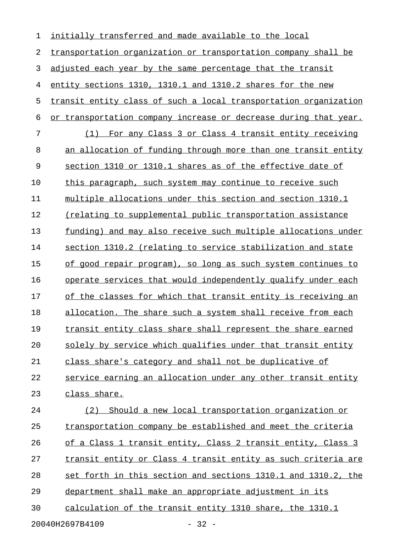| 1                          | initially transferred and made available to the local            |
|----------------------------|------------------------------------------------------------------|
| 2                          | transportation organization or transportation company shall be   |
| 3                          | adjusted each year by the same percentage that the transit       |
| 4                          | entity sections 1310, 1310.1 and 1310.2 shares for the new       |
| 5                          | transit entity class of such a local transportation organization |
| 6                          | or transportation company increase or decrease during that year. |
| 7                          | (1) For any Class 3 or Class 4 transit entity receiving          |
| 8                          | an allocation of funding through more than one transit entity    |
| 9                          | section 1310 or 1310.1 shares as of the effective date of        |
| 10                         | this paragraph, such system may continue to receive such         |
| 11                         | multiple allocations under this section and section 1310.1       |
| 12                         | (relating to supplemental public transportation assistance       |
| 13                         | funding) and may also receive such multiple allocations under    |
| 14                         | section 1310.2 (relating to service stabilization and state      |
| 15                         | of good repair program), so long as such system continues to     |
| 16                         | operate services that would independently qualify under each     |
| 17                         | of the classes for which that transit entity is receiving an     |
| 18                         | allocation. The share such a system shall receive from each      |
| 19                         | transit entity class share shall represent the share earned      |
| 20                         | solely by service which qualifies under that transit entity      |
| 21                         | class share's category and shall not be duplicative of           |
| 22                         | service earning an allocation under any other transit entity     |
| 23                         | class share.                                                     |
| 24                         | Should a new local transportation organization or<br>(2)         |
| 25                         | transportation company be established and meet the criteria      |
| 26                         | of a Class 1 transit entity, Class 2 transit entity, Class 3     |
| 27                         | transit entity or Class 4 transit entity as such criteria are    |
| 28                         | set forth in this section and sections 1310.1 and 1310.2, the    |
| 29                         | department shall make an appropriate adjustment in its           |
| 30                         | calculation of the transit entity 1310 share, the 1310.1         |
| 20040H2697B4109<br>$-32 -$ |                                                                  |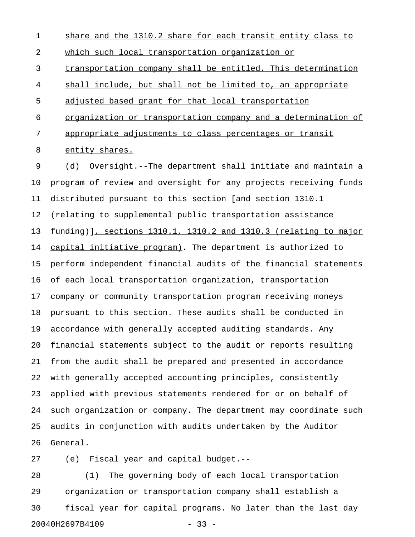1 share and the 1310.2 share for each transit entity class to 2 which such local transportation organization or 3 transportation company shall be entitled. This determination 4 shall include, but shall not be limited to, an appropriate 5 adjusted based grant for that local transportation 6 organization or transportation company and a determination of 7 appropriate adjustments to class percentages or transit 8 entity shares.

9 (d) Oversight.--The department shall initiate and maintain a 10 program of review and oversight for any projects receiving funds 11 distributed pursuant to this section [and section 1310.1 12 (relating to supplemental public transportation assistance 13 funding)], sections 1310.1, 1310.2 and 1310.3 (relating to major 14 capital initiative program). The department is authorized to 15 perform independent financial audits of the financial statements 16 of each local transportation organization, transportation 17 company or community transportation program receiving moneys 18 pursuant to this section. These audits shall be conducted in 19 accordance with generally accepted auditing standards. Any 20 financial statements subject to the audit or reports resulting 21 from the audit shall be prepared and presented in accordance 22 with generally accepted accounting principles, consistently 23 applied with previous statements rendered for or on behalf of 24 such organization or company. The department may coordinate such 25 audits in conjunction with audits undertaken by the Auditor 26 General.

27 (e) Fiscal year and capital budget.--

28 (1) The governing body of each local transportation 29 organization or transportation company shall establish a 30 fiscal year for capital programs. No later than the last day 20040H2697B4109 - 33 -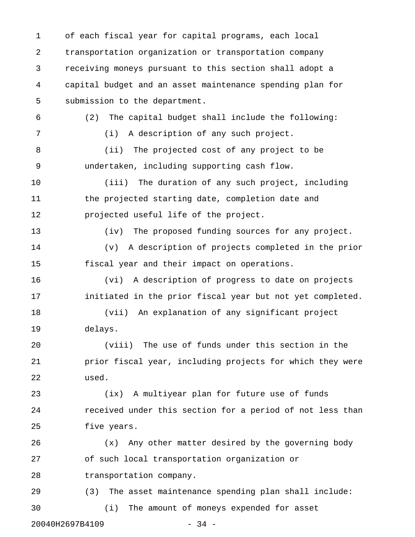1 of each fiscal year for capital programs, each local 2 transportation organization or transportation company 3 receiving moneys pursuant to this section shall adopt a 4 capital budget and an asset maintenance spending plan for 5 submission to the department. 6 (2) The capital budget shall include the following: 7 (i) A description of any such project. 8 (ii) The projected cost of any project to be 9 undertaken, including supporting cash flow. 10 (iii) The duration of any such project, including 11 the projected starting date, completion date and 12 projected useful life of the project. 13 (iv) The proposed funding sources for any project. 14 (v) A description of projects completed in the prior 15 fiscal year and their impact on operations. 16 (vi) A description of progress to date on projects 17 initiated in the prior fiscal year but not yet completed. 18 (vii) An explanation of any significant project 19 delays. 20 (viii) The use of funds under this section in the 21 prior fiscal year, including projects for which they were 22 used. 23 (ix) A multiyear plan for future use of funds 24 received under this section for a period of not less than 25 five years. 26 (x) Any other matter desired by the governing body 27 of such local transportation organization or 28 transportation company. 29 (3) The asset maintenance spending plan shall include: 30 (i) The amount of moneys expended for asset 20040H2697B4109 - 34 -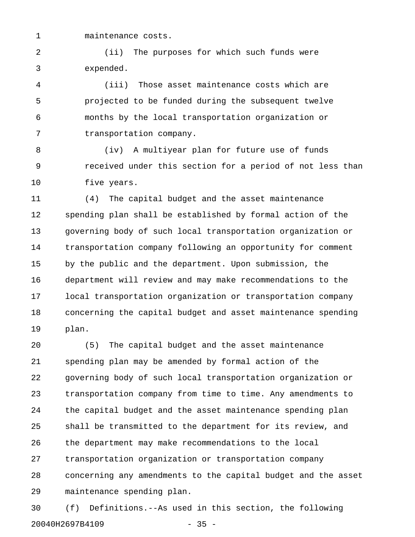1 maintenance costs.

2 (ii) The purposes for which such funds were 3 expended.

4 (iii) Those asset maintenance costs which are 5 projected to be funded during the subsequent twelve 6 months by the local transportation organization or 7 transportation company.

8 (iv) A multiyear plan for future use of funds 9 received under this section for a period of not less than 10 five years.

11 (4) The capital budget and the asset maintenance 12 spending plan shall be established by formal action of the 13 governing body of such local transportation organization or 14 transportation company following an opportunity for comment 15 by the public and the department. Upon submission, the 16 department will review and may make recommendations to the 17 local transportation organization or transportation company 18 concerning the capital budget and asset maintenance spending 19 plan.

20 (5) The capital budget and the asset maintenance 21 spending plan may be amended by formal action of the 22 governing body of such local transportation organization or 23 transportation company from time to time. Any amendments to 24 the capital budget and the asset maintenance spending plan 25 shall be transmitted to the department for its review, and 26 the department may make recommendations to the local 27 transportation organization or transportation company 28 concerning any amendments to the capital budget and the asset 29 maintenance spending plan.

30 (f) Definitions.--As used in this section, the following 20040H2697B4109 - 35 -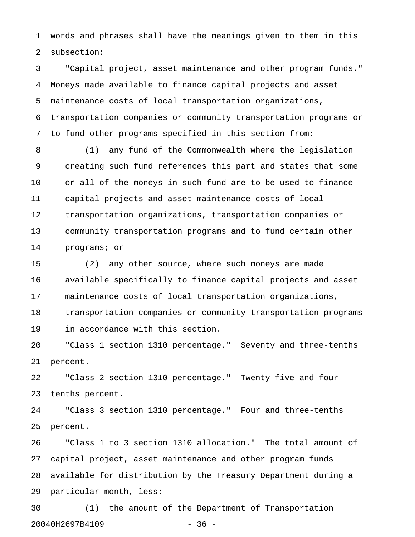1 words and phrases shall have the meanings given to them in this 2 subsection:

3 "Capital project, asset maintenance and other program funds." 4 Moneys made available to finance capital projects and asset 5 maintenance costs of local transportation organizations, 6 transportation companies or community transportation programs or 7 to fund other programs specified in this section from:

8 (1) any fund of the Commonwealth where the legislation 9 creating such fund references this part and states that some 10 or all of the moneys in such fund are to be used to finance 11 capital projects and asset maintenance costs of local 12 transportation organizations, transportation companies or 13 community transportation programs and to fund certain other 14 programs; or

15 (2) any other source, where such moneys are made 16 available specifically to finance capital projects and asset 17 maintenance costs of local transportation organizations, 18 transportation companies or community transportation programs

19 in accordance with this section.

20 "Class 1 section 1310 percentage." Seventy and three-tenths 21 percent.

22 "Class 2 section 1310 percentage." Twenty-five and four-23 tenths percent.

24 "Class 3 section 1310 percentage." Four and three-tenths 25 percent.

26 "Class 1 to 3 section 1310 allocation." The total amount of 27 capital project, asset maintenance and other program funds 28 available for distribution by the Treasury Department during a 29 particular month, less:

30 (1) the amount of the Department of Transportation 20040H2697B4109 - 36 -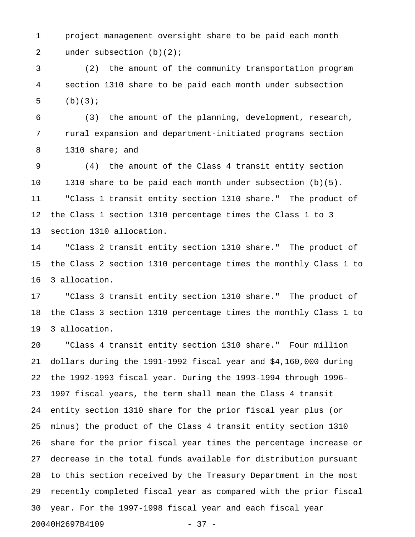1 project management oversight share to be paid each month 2 under subsection (b)(2);

3 (2) the amount of the community transportation program 4 section 1310 share to be paid each month under subsection 5  $(b)(3);$ 

6 (3) the amount of the planning, development, research, 7 rural expansion and department-initiated programs section 8 1310 share; and

9 (4) the amount of the Class 4 transit entity section 10 1310 share to be paid each month under subsection (b)(5). 11 "Class 1 transit entity section 1310 share." The product of 12 the Class 1 section 1310 percentage times the Class 1 to 3 13 section 1310 allocation.

14 "Class 2 transit entity section 1310 share." The product of 15 the Class 2 section 1310 percentage times the monthly Class 1 to 16 3 allocation.

17 "Class 3 transit entity section 1310 share." The product of 18 the Class 3 section 1310 percentage times the monthly Class 1 to 19 3 allocation.

20 "Class 4 transit entity section 1310 share." Four million 21 dollars during the 1991-1992 fiscal year and \$4,160,000 during 22 the 1992-1993 fiscal year. During the 1993-1994 through 1996- 23 1997 fiscal years, the term shall mean the Class 4 transit 24 entity section 1310 share for the prior fiscal year plus (or 25 minus) the product of the Class 4 transit entity section 1310 26 share for the prior fiscal year times the percentage increase or 27 decrease in the total funds available for distribution pursuant 28 to this section received by the Treasury Department in the most 29 recently completed fiscal year as compared with the prior fiscal 30 year. For the 1997-1998 fiscal year and each fiscal year 20040H2697B4109 - 37 -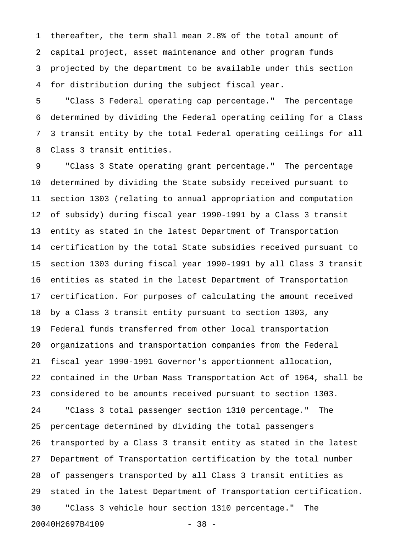1 thereafter, the term shall mean 2.8% of the total amount of 2 capital project, asset maintenance and other program funds 3 projected by the department to be available under this section 4 for distribution during the subject fiscal year.

5 "Class 3 Federal operating cap percentage." The percentage 6 determined by dividing the Federal operating ceiling for a Class 7 3 transit entity by the total Federal operating ceilings for all 8 Class 3 transit entities.

9 "Class 3 State operating grant percentage." The percentage 10 determined by dividing the State subsidy received pursuant to 11 section 1303 (relating to annual appropriation and computation 12 of subsidy) during fiscal year 1990-1991 by a Class 3 transit 13 entity as stated in the latest Department of Transportation 14 certification by the total State subsidies received pursuant to 15 section 1303 during fiscal year 1990-1991 by all Class 3 transit 16 entities as stated in the latest Department of Transportation 17 certification. For purposes of calculating the amount received 18 by a Class 3 transit entity pursuant to section 1303, any 19 Federal funds transferred from other local transportation 20 organizations and transportation companies from the Federal 21 fiscal year 1990-1991 Governor's apportionment allocation, 22 contained in the Urban Mass Transportation Act of 1964, shall be 23 considered to be amounts received pursuant to section 1303. 24 "Class 3 total passenger section 1310 percentage." The 25 percentage determined by dividing the total passengers 26 transported by a Class 3 transit entity as stated in the latest 27 Department of Transportation certification by the total number 28 of passengers transported by all Class 3 transit entities as 29 stated in the latest Department of Transportation certification. 30 "Class 3 vehicle hour section 1310 percentage." The 20040H2697B4109 - 38 -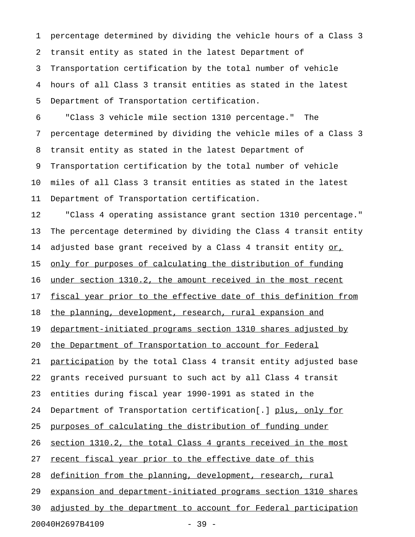1 percentage determined by dividing the vehicle hours of a Class 3 2 transit entity as stated in the latest Department of 3 Transportation certification by the total number of vehicle 4 hours of all Class 3 transit entities as stated in the latest 5 Department of Transportation certification.

6 "Class 3 vehicle mile section 1310 percentage." The 7 percentage determined by dividing the vehicle miles of a Class 3 8 transit entity as stated in the latest Department of 9 Transportation certification by the total number of vehicle 10 miles of all Class 3 transit entities as stated in the latest 11 Department of Transportation certification.

12 "Class 4 operating assistance grant section 1310 percentage." 13 The percentage determined by dividing the Class 4 transit entity 14 adjusted base grant received by a Class 4 transit entity or, 15 only for purposes of calculating the distribution of funding 16 under section 1310.2, the amount received in the most recent 17 fiscal year prior to the effective date of this definition from 18 the planning, development, research, rural expansion and 19 department-initiated programs section 1310 shares adjusted by 20 the Department of Transportation to account for Federal 21 participation by the total Class 4 transit entity adjusted base 22 grants received pursuant to such act by all Class 4 transit 23 entities during fiscal year 1990-1991 as stated in the 24 Department of Transportation certification[.] plus, only for 25 purposes of calculating the distribution of funding under 26 <u>section 1310.2, the total Class 4 grants received in the most</u> 27 recent fiscal year prior to the effective date of this 28 definition from the planning, development, research, rural 29 expansion and department-initiated programs section 1310 shares 30 adjusted by the department to account for Federal participation 20040H2697B4109 - 39 -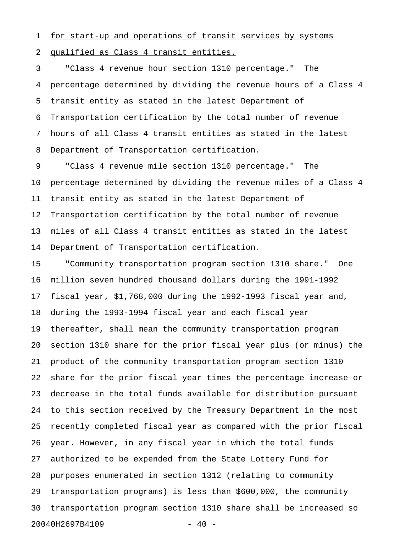1 for start-up and operations of transit services by systems 2 qualified as Class 4 transit entities.

3 "Class 4 revenue hour section 1310 percentage." The 4 percentage determined by dividing the revenue hours of a Class 4 5 transit entity as stated in the latest Department of 6 Transportation certification by the total number of revenue 7 hours of all Class 4 transit entities as stated in the latest 8 Department of Transportation certification.

9 "Class 4 revenue mile section 1310 percentage." The 10 percentage determined by dividing the revenue miles of a Class 4 11 transit entity as stated in the latest Department of 12 Transportation certification by the total number of revenue 13 miles of all Class 4 transit entities as stated in the latest 14 Department of Transportation certification.

15 "Community transportation program section 1310 share." One 16 million seven hundred thousand dollars during the 1991-1992 17 fiscal year, \$1,768,000 during the 1992-1993 fiscal year and, 18 during the 1993-1994 fiscal year and each fiscal year 19 thereafter, shall mean the community transportation program 20 section 1310 share for the prior fiscal year plus (or minus) the 21 product of the community transportation program section 1310 22 share for the prior fiscal year times the percentage increase or 23 decrease in the total funds available for distribution pursuant 24 to this section received by the Treasury Department in the most 25 recently completed fiscal year as compared with the prior fiscal 26 year. However, in any fiscal year in which the total funds 27 authorized to be expended from the State Lottery Fund for 28 purposes enumerated in section 1312 (relating to community 29 transportation programs) is less than \$600,000, the community 30 transportation program section 1310 share shall be increased so 20040H2697B4109 - 40 -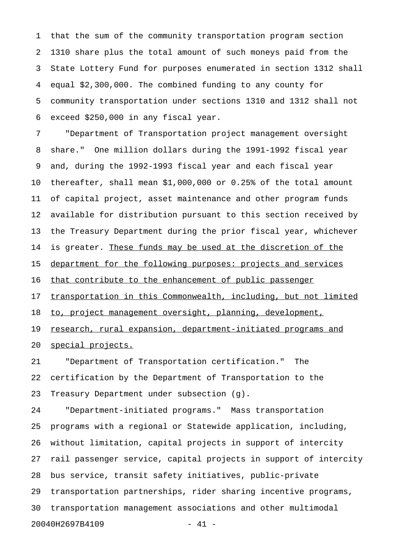1 that the sum of the community transportation program section 2 1310 share plus the total amount of such moneys paid from the 3 State Lottery Fund for purposes enumerated in section 1312 shall 4 equal \$2,300,000. The combined funding to any county for 5 community transportation under sections 1310 and 1312 shall not 6 exceed \$250,000 in any fiscal year.

7 "Department of Transportation project management oversight 8 share." One million dollars during the 1991-1992 fiscal year 9 and, during the 1992-1993 fiscal year and each fiscal year 10 thereafter, shall mean \$1,000,000 or 0.25% of the total amount 11 of capital project, asset maintenance and other program funds 12 available for distribution pursuant to this section received by 13 the Treasury Department during the prior fiscal year, whichever 14 is greater. These funds may be used at the discretion of the 15 department for the following purposes: projects and services 16 that contribute to the enhancement of public passenger 17 transportation in this Commonwealth, including, but not limited 18 to, project management oversight, planning, development, 19 research, rural expansion, department-initiated programs and 20 <u>special projects.</u>

21 "Department of Transportation certification." The 22 certification by the Department of Transportation to the 23 Treasury Department under subsection (g).

24 "Department-initiated programs." Mass transportation 25 programs with a regional or Statewide application, including, 26 without limitation, capital projects in support of intercity 27 rail passenger service, capital projects in support of intercity 28 bus service, transit safety initiatives, public-private 29 transportation partnerships, rider sharing incentive programs, 30 transportation management associations and other multimodal 20040H2697B4109 - 41 -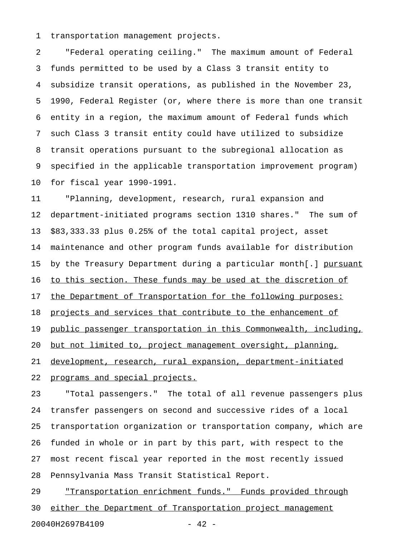1 transportation management projects.

2 "Federal operating ceiling." The maximum amount of Federal 3 funds permitted to be used by a Class 3 transit entity to 4 subsidize transit operations, as published in the November 23, 5 1990, Federal Register (or, where there is more than one transit 6 entity in a region, the maximum amount of Federal funds which 7 such Class 3 transit entity could have utilized to subsidize 8 transit operations pursuant to the subregional allocation as 9 specified in the applicable transportation improvement program) 10 for fiscal year 1990-1991.

11 "Planning, development, research, rural expansion and 12 department-initiated programs section 1310 shares." The sum of 13 \$83,333.33 plus 0.25% of the total capital project, asset 14 maintenance and other program funds available for distribution 15 by the Treasury Department during a particular month[.] pursuant 16 to this section. These funds may be used at the discretion of 17 the Department of Transportation for the following purposes: 18 projects and services that contribute to the enhancement of 19 public passenger transportation in this Commonwealth, including, 20 but not limited to, project management oversight, planning, 21 development, research, rural expansion, department-initiated 22 programs and special projects.

23 "Total passengers." The total of all revenue passengers plus 24 transfer passengers on second and successive rides of a local 25 transportation organization or transportation company, which are 26 funded in whole or in part by this part, with respect to the 27 most recent fiscal year reported in the most recently issued 28 Pennsylvania Mass Transit Statistical Report.

29 "Transportation enrichment funds." Funds provided through 30 either the Department of Transportation project management 20040H2697B4109 - 42 -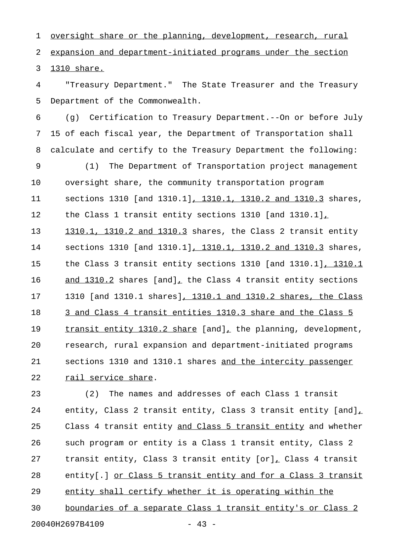1 oversight share or the planning, development, research, rural 2 expansion and department-initiated programs under the section 3 1310 share.

4 "Treasury Department." The State Treasurer and the Treasury 5 Department of the Commonwealth.

6 (g) Certification to Treasury Department.--On or before July 7 15 of each fiscal year, the Department of Transportation shall 8 calculate and certify to the Treasury Department the following:

9 (1) The Department of Transportation project management 10 oversight share, the community transportation program 11 sections 1310 [and 1310.1], 1310.1, 1310.2 and 1310.3 shares, 12 the Class 1 transit entity sections 1310 [and 1310.1], 13 1310.1, 1310.2 and 1310.3 shares, the Class 2 transit entity 14 sections 1310 [and 1310.1], 1310.1, 1310.2 and 1310.3 shares, 15 the Class 3 transit entity sections 1310 [and 1310.1], 1310.1 16 and 1310.2 shares [and], the Class 4 transit entity sections 17 1310 [and 1310.1 shares], 1310.1 and 1310.2 shares, the Class 18 3 and Class 4 transit entities 1310.3 share and the Class 5 19 transit entity 1310.2 share [and], the planning, development, 20 research, rural expansion and department-initiated programs 21 sections 1310 and 1310.1 shares and the intercity passenger 22 rail service share.

23 (2) The names and addresses of each Class 1 transit 24 entity, Class 2 transit entity, Class 3 transit entity  $[and]_{\perp}$ 25 Class 4 transit entity and Class 5 transit entity and whether 26 such program or entity is a Class 1 transit entity, Class 2 27 transit entity, Class 3 transit entity [or], Class 4 transit \_ 28 entity[.] or Class 5 transit entity and for a Class 3 transit 29 entity shall certify whether it is operating within the 30 boundaries of a separate Class 1 transit entity's or Class 2 20040H2697B4109 - 43 -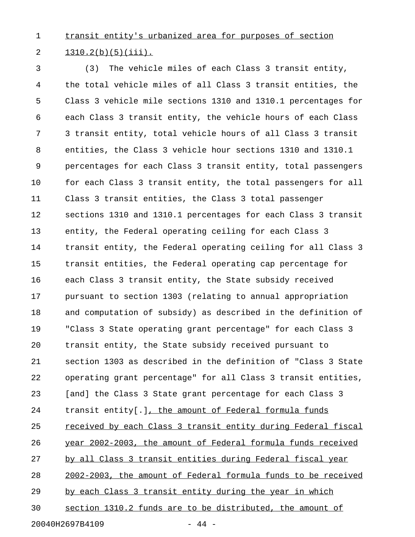1 transit entity's urbanized area for purposes of section 2  $1310.2(b)(5)(iii)$ .

3 (3) The vehicle miles of each Class 3 transit entity, 4 the total vehicle miles of all Class 3 transit entities, the 5 Class 3 vehicle mile sections 1310 and 1310.1 percentages for 6 each Class 3 transit entity, the vehicle hours of each Class 7 3 transit entity, total vehicle hours of all Class 3 transit 8 entities, the Class 3 vehicle hour sections 1310 and 1310.1 9 percentages for each Class 3 transit entity, total passengers 10 for each Class 3 transit entity, the total passengers for all 11 Class 3 transit entities, the Class 3 total passenger 12 sections 1310 and 1310.1 percentages for each Class 3 transit 13 entity, the Federal operating ceiling for each Class 3 14 transit entity, the Federal operating ceiling for all Class 3 15 transit entities, the Federal operating cap percentage for 16 each Class 3 transit entity, the State subsidy received 17 pursuant to section 1303 (relating to annual appropriation 18 and computation of subsidy) as described in the definition of 19 "Class 3 State operating grant percentage" for each Class 3 20 transit entity, the State subsidy received pursuant to 21 section 1303 as described in the definition of "Class 3 State 22 operating grant percentage" for all Class 3 transit entities, 23 [and] the Class 3 State grant percentage for each Class 3 24 transit entity[.], the amount of Federal formula funds 25 received by each Class 3 transit entity during Federal fiscal 26 year 2002-2003, the amount of Federal formula funds received 27 by all Class 3 transit entities during Federal fiscal year 28 2002-2003, the amount of Federal formula funds to be received 29 by each Class 3 transit entity during the year in which 30 section 1310.2 funds are to be distributed, the amount of

20040H2697B4109 - 44 -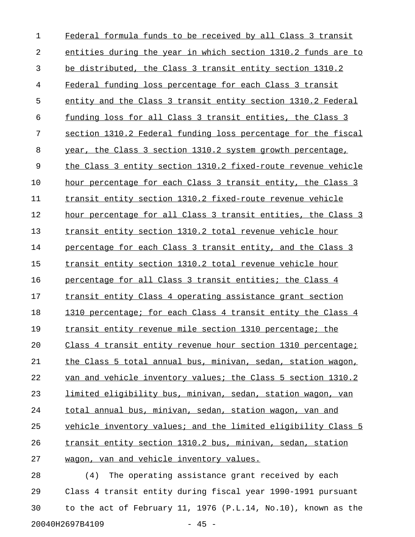| 1  | Federal formula funds to be received by all Class 3 transit   |
|----|---------------------------------------------------------------|
| 2  | entities during the year in which section 1310.2 funds are to |
| 3  | be distributed, the Class 3 transit entity section 1310.2     |
| 4  | Federal funding loss percentage for each Class 3 transit      |
| 5  | entity and the Class 3 transit entity section 1310.2 Federal  |
| 6  | funding loss for all Class 3 transit entities, the Class 3    |
| 7  | section 1310.2 Federal funding loss percentage for the fiscal |
| 8  | year, the Class 3 section 1310.2 system growth percentage,    |
| 9  | the Class 3 entity section 1310.2 fixed-route revenue vehicle |
| 10 | hour percentage for each Class 3 transit entity, the Class 3  |
| 11 | transit entity section 1310.2 fixed-route revenue vehicle     |
| 12 | hour percentage for all Class 3 transit entities, the Class 3 |
| 13 | transit entity section 1310.2 total revenue vehicle hour      |
| 14 | percentage for each Class 3 transit entity, and the Class 3   |
| 15 | transit entity section 1310.2 total revenue vehicle hour      |
| 16 | percentage for all Class 3 transit entities; the Class 4      |
| 17 | transit entity Class 4 operating assistance grant section     |
| 18 | 1310 percentage; for each Class 4 transit entity the Class 4  |
| 19 | transit entity revenue mile section 1310 percentage; the      |
| 20 | Class 4 transit entity revenue hour section 1310 percentage;  |
| 21 | the Class 5 total annual bus, minivan, sedan, station wagon,  |
| 22 | van and vehicle inventory values; the Class 5 section 1310.2  |
| 23 | limited eligibility bus, minivan, sedan, station wagon, van   |
| 24 | total annual bus, minivan, sedan, station wagon, van and      |
| 25 | vehicle inventory values; and the limited eligibility Class 5 |
| 26 | transit entity section 1310.2 bus, minivan, sedan, station    |
| 27 | wagon, van and vehicle inventory values.                      |
| 28 | The operating assistance grant received by each<br>(4)        |
| 29 | Class 4 transit entity during fiscal year 1990-1991 pursuant  |

30 to the act of February 11, 1976 (P.L.14, No.10), known as the 20040H2697B4109 - 45 -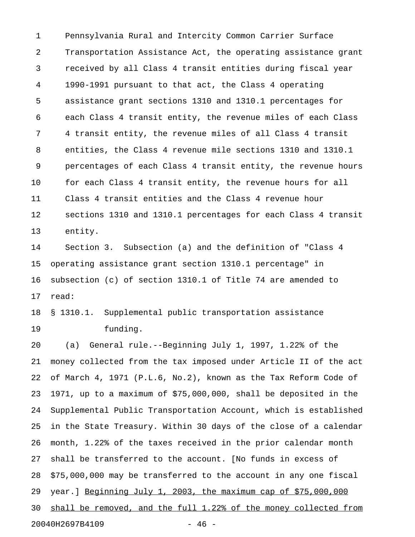1 Pennsylvania Rural and Intercity Common Carrier Surface 2 Transportation Assistance Act, the operating assistance grant 3 received by all Class 4 transit entities during fiscal year 4 1990-1991 pursuant to that act, the Class 4 operating 5 assistance grant sections 1310 and 1310.1 percentages for 6 each Class 4 transit entity, the revenue miles of each Class 7 4 transit entity, the revenue miles of all Class 4 transit 8 entities, the Class 4 revenue mile sections 1310 and 1310.1 9 percentages of each Class 4 transit entity, the revenue hours 10 for each Class 4 transit entity, the revenue hours for all 11 Class 4 transit entities and the Class 4 revenue hour 12 sections 1310 and 1310.1 percentages for each Class 4 transit 13 entity.

14 Section 3. Subsection (a) and the definition of "Class 4 15 operating assistance grant section 1310.1 percentage" in 16 subsection (c) of section 1310.1 of Title 74 are amended to 17 read:

18 § 1310.1. Supplemental public transportation assistance 19 funding.

20 (a) General rule.--Beginning July 1, 1997, 1.22% of the 21 money collected from the tax imposed under Article II of the act 22 of March 4, 1971 (P.L.6, No.2), known as the Tax Reform Code of 23 1971, up to a maximum of \$75,000,000, shall be deposited in the 24 Supplemental Public Transportation Account, which is established 25 in the State Treasury. Within 30 days of the close of a calendar 26 month, 1.22% of the taxes received in the prior calendar month 27 shall be transferred to the account. [No funds in excess of 28 \$75,000,000 may be transferred to the account in any one fiscal 29 year.] Beginning July 1, 2003, the maximum cap of  $$75,000,000$ 30 shall be removed, and the full  $1.22$ % of the money collected from 20040H2697B4109 - 46 -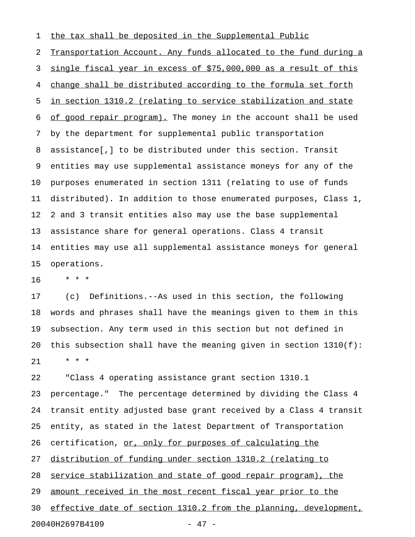1 the tax shall be deposited in the Supplemental Public

2 Transportation Account. Any funds allocated to the fund during a 3 single fiscal year in excess of \$75,000,000 as a result of this 4 change shall be distributed according to the formula set forth 5 in section 1310.2 (relating to service stabilization and state 6 of good repair program). The money in the account shall be used 7 by the department for supplemental public transportation 8 assistance[,] to be distributed under this section. Transit 9 entities may use supplemental assistance moneys for any of the 10 purposes enumerated in section 1311 (relating to use of funds 11 distributed). In addition to those enumerated purposes, Class 1, 12 2 and 3 transit entities also may use the base supplemental 13 assistance share for general operations. Class 4 transit 14 entities may use all supplemental assistance moneys for general 15 operations.

16 \* \* \*

17 (c) Definitions.--As used in this section, the following 18 words and phrases shall have the meanings given to them in this 19 subsection. Any term used in this section but not defined in 20 this subsection shall have the meaning given in section  $1310(f)$ : 21 \* \* \*

22 "Class 4 operating assistance grant section 1310.1 23 percentage." The percentage determined by dividing the Class 4 24 transit entity adjusted base grant received by a Class 4 transit 25 entity, as stated in the latest Department of Transportation 26 certification, or, only for purposes of calculating the 27 distribution of funding under section 1310.2 (relating to 28 service stabilization and state of good repair program), the 29 amount received in the most recent fiscal year prior to the 30 effective date of section 1310.2 from the planning, development, 20040H2697B4109 - 47 -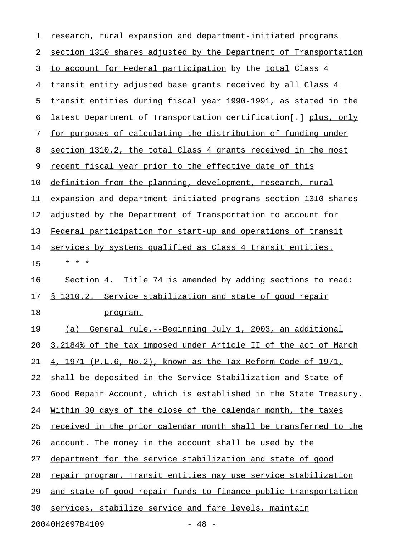| 1  | research, rural expansion and department-initiated programs      |
|----|------------------------------------------------------------------|
| 2  | section 1310 shares adjusted by the Department of Transportation |
| 3  | to account for Federal participation by the total Class 4        |
| 4  | transit entity adjusted base grants received by all Class 4      |
| 5  | transit entities during fiscal year 1990-1991, as stated in the  |
| 6  | latest Department of Transportation certification[.] plus, only  |
| 7  | for purposes of calculating the distribution of funding under    |
| 8  | section 1310.2, the total Class 4 grants received in the most    |
| 9  | recent fiscal year prior to the effective date of this           |
| 10 | definition from the planning, development, research, rural       |
| 11 | expansion and department-initiated programs section 1310 shares  |
| 12 | adjusted by the Department of Transportation to account for      |
| 13 | Federal participation for start-up and operations of transit     |
| 14 | services by systems qualified as Class 4 transit entities.       |
| 15 | * * *                                                            |
| 16 | Section 4. Title 74 is amended by adding sections to read:       |
| 17 | § 1310.2. Service stabilization and state of good repair         |
| 18 | program.                                                         |
| 19 | General rule.--Beginning July 1, 2003, an additional<br>(a)      |
| 20 | 3.2184% of the tax imposed under Article II of the act of March  |
| 21 | 4, 1971 (P.L.6, No.2), known as the Tax Reform Code of 1971,     |
| 22 | shall be deposited in the Service Stabilization and State of     |
| 23 | Good Repair Account, which is established in the State Treasury. |
| 24 | Within 30 days of the close of the calendar month, the taxes     |
| 25 | received in the prior calendar month shall be transferred to the |
| 26 | account. The money in the account shall be used by the           |
| 27 | department for the service stabilization and state of good       |
| 28 | repair program. Transit entities may use service stabilization   |
| 29 | and state of good repair funds to finance public transportation  |
| 30 | services, stabilize service and fare levels, maintain            |
|    | 20040H2697B4109<br>$-48 -$                                       |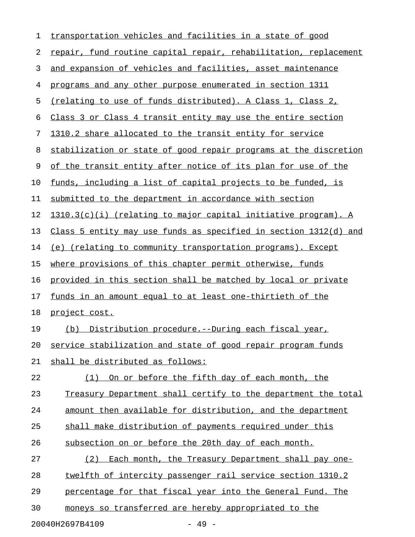| $\mathbf 1$ | transportation vehicles and facilities in a state of good        |
|-------------|------------------------------------------------------------------|
| 2           | repair, fund routine capital repair, rehabilitation, replacement |
| 3           | and expansion of vehicles and facilities, asset maintenance      |
| 4           | programs and any other purpose enumerated in section 1311        |
| 5           | (relating to use of funds distributed). A Class 1, Class 2,      |
| 6           | Class 3 or Class 4 transit entity may use the entire section     |
| 7           | 1310.2 share allocated to the transit entity for service         |
| 8           | stabilization or state of good repair programs at the discretion |
| 9           | of the transit entity after notice of its plan for use of the    |
| 10          | funds, including a list of capital projects to be funded, is     |
| 11          | submitted to the department in accordance with section           |
| 12          | 1310.3(c)(i) (relating to major capital initiative program). A   |
| 13          | Class 5 entity may use funds as specified in section 1312(d) and |
| 14          | (e) (relating to community transportation programs). Except      |
| 15          | where provisions of this chapter permit otherwise, funds         |
| 16          | provided in this section shall be matched by local or private    |
| 17          | funds in an amount equal to at least one-thirtieth of the        |
| 18          | project cost.                                                    |
| 19          | (b) Distribution procedure.--During each fiscal year,            |
| 20          | service stabilization and state of good repair program funds     |
| 21          | shall be distributed as follows:                                 |
| 22          | On or before the fifth day of each month, the<br>(1)             |
| 23          | Treasury Department shall certify to the department the total    |
| 24          | amount then available for distribution, and the department       |
| 25          | shall make distribution of payments required under this          |
| 26          | subsection on or before the 20th day of each month.              |
| 27          | Each month, the Treasury Department shall pay one-<br>(2)        |
| 28          | twelfth of intercity passenger rail service section 1310.2       |
| 29          | percentage for that fiscal year into the General Fund. The       |
| 30          | moneys so transferred are hereby appropriated to the             |
|             |                                                                  |

20040H2697B4109 - 49 -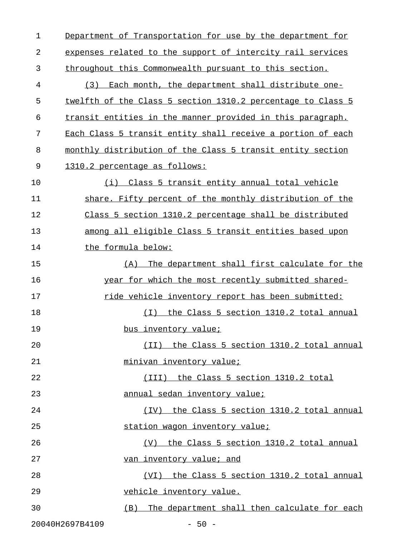| $\mathbf{1}$ | Department of Transportation for use by the department for  |
|--------------|-------------------------------------------------------------|
| 2            | expenses related to the support of intercity rail services  |
| 3            | throughout this Commonwealth pursuant to this section.      |
| 4            | Each month, the department shall distribute one-<br>(3)     |
| 5            | twelfth of the Class 5 section 1310.2 percentage to Class 5 |
| 6            | transit entities in the manner provided in this paragraph.  |
| 7            | Each Class 5 transit entity shall receive a portion of each |
| 8            | monthly distribution of the Class 5 transit entity section  |
| 9            | 1310.2 percentage as follows:                               |
| 10           | (i) Class 5 transit entity annual total vehicle             |
| 11           | share. Fifty percent of the monthly distribution of the     |
| 12           | Class 5 section 1310.2 percentage shall be distributed      |
| 13           | among all eligible Class 5 transit entities based upon      |
| 14           | the formula below:                                          |
| 15           | The department shall first calculate for the<br>(A)         |
| 16           | year for which the most recently submitted shared-          |
| 17           | ride vehicle inventory report has been submitted:           |
| 18           | (I) the Class 5 section 1310.2 total annual                 |
| 19           | bus inventory value;                                        |
| 20           | (II) the Class 5 section 1310.2 total annual                |
| 21           | minivan inventory value;                                    |
| 22           | (III) the Class 5 section 1310.2 total                      |
| 23           | annual sedan inventory value;                               |
| 24           | (IV) the Class 5 section 1310.2 total annual                |
| 25           | station wagon inventory value;                              |
| 26           | (V) the Class 5 section 1310.2 total annual                 |
| 27           | van inventory value; and                                    |
| 28           | (VI) the Class 5 section 1310.2 total annual                |
| 29           | vehicle inventory value.                                    |
| 30           | (B) The department shall then calculate for each            |
|              |                                                             |

20040H2697B4109 - 50 -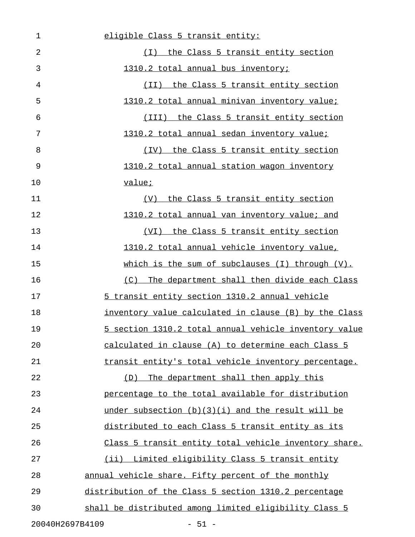| $\mathbf 1$     | eligible Class 5 transit entity:                       |
|-----------------|--------------------------------------------------------|
| $\overline{2}$  | (I) the Class 5 transit entity section                 |
| 3               | 1310.2 total annual bus inventory;                     |
| 4               | (II) the Class 5 transit entity section                |
| 5               | 1310.2 total annual minivan inventory value;           |
| 6               | (III) the Class 5 transit entity section               |
| 7               | 1310.2 total annual sedan inventory value;             |
| 8               | (IV) the Class 5 transit entity section                |
| 9               | 1310.2 total annual station wagon inventory            |
| 10              | value;                                                 |
| 11              | (V) the Class 5 transit entity section                 |
| 12              | 1310.2 total annual van inventory value; and           |
| 13              | (VI) the Class 5 transit entity section                |
| 14              | 1310.2 total annual vehicle inventory value,           |
| 15              | which is the sum of subclauses (I) through (V).        |
| 16              | (C) The department shall then divide each Class        |
| 17              | 5 transit entity section 1310.2 annual vehicle         |
| 18              | inventory value calculated in clause (B) by the Class  |
| 19              | 5 section 1310.2 total annual vehicle inventory value  |
| 20              | calculated in clause (A) to determine each Class 5     |
| 21              | transit entity's total vehicle inventory percentage.   |
| 22              | The department shall then apply this<br>(D)            |
| 23              | percentage to the total available for distribution     |
| 24              | under subsection (b)(3)(i) and the result will be      |
| 25              | distributed to each Class 5 transit entity as its      |
| 26              | Class 5 transit entity total vehicle inventory share.  |
| 27              | (ii) Limited eligibility Class 5 transit entity        |
| 28              | annual vehicle share. Fifty percent of the monthly     |
| 29              | distribution of the Class 5 section 1310.2 percentage  |
| 30              | shall be distributed among limited eligibility Class 5 |
| 20040H2697B4109 | $-51 -$                                                |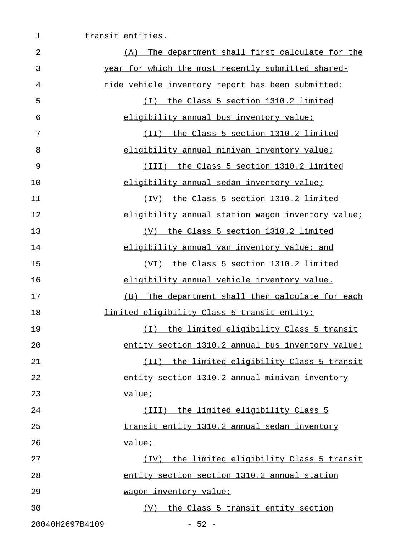| $\overline{2}$  | The department shall first calculate for the<br>(A) |
|-----------------|-----------------------------------------------------|
| 3               | year for which the most recently submitted shared-  |
| 4               | ride vehicle inventory report has been submitted:   |
| 5               | (I) the Class 5 section 1310.2 limited              |
| 6               | eligibility annual bus inventory value;             |
| 7               | (II) the Class 5 section 1310.2 limited             |
| 8               | eligibility annual minivan inventory value;         |
| 9               | (III) the Class 5 section 1310.2 limited            |
| 10              | eligibility annual sedan inventory value;           |
| 11              | (IV) the Class 5 section 1310.2 limited             |
| 12              | eligibility annual station wagon inventory value;   |
| 13              | (V) the Class 5 section 1310.2 limited              |
| 14              | eligibility annual van inventory value; and         |
| 15              | <u>(VI) the Class 5 section 1310.2 limited</u>      |
| 16              | eligibility annual vehicle inventory value.         |
| 17              | (B) The department shall then calculate for each    |
| 18              | limited eligibility Class 5 transit entity:         |
| 19              | (I) the limited eligibility Class 5 transit         |
| 20              | entity section 1310.2 annual bus inventory value;   |
| 21              | (II) the limited eligibility Class 5 transit        |
| 22              | entity section 1310.2 annual minivan inventory      |
| 23              | value;                                              |
| 24              | (III) the limited eligibility Class 5               |
| 25              | transit entity 1310.2 annual sedan inventory        |
| 26              | value;                                              |
| 27              | the limited eligibility Class 5 transit<br>(TV)     |
| 28              | entity section section 1310.2 annual station        |
| 29              | wagon inventory value;                              |
| 30              | (V) the Class 5 transit entity section              |
| 20040H2697B4109 | $-52 -$                                             |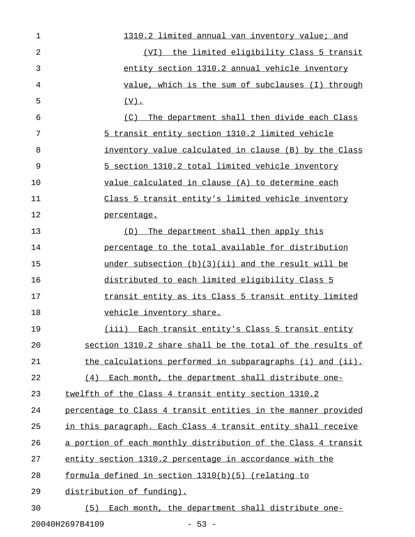1 1310.2 limited annual van inventory value; and 2 (VI) the limited eligibility Class 5 transit 3 entity section 1310.2 annual vehicle inventory 4 value, which is the sum of subclauses (I) through  $5$  (V). 6 (C) The department shall then divide each Class 7 5 transit entity section 1310.2 limited vehicle 8 inventory value calculated in clause (B) by the Class 9 5 section 1310.2 total limited vehicle inventory 10 value calculated in clause (A) to determine each 11 Class 5 transit entity's limited vehicle inventory 12 percentage. 13 (D) The department shall then apply this 14 **percentage to the total available for distribution** 15 under subsection (b)(3)(ii) and the result will be 16 distributed to each limited eligibility Class 5 \_\_\_\_\_\_\_\_\_\_\_\_\_\_\_\_\_\_\_\_\_\_\_\_\_\_\_\_\_\_\_\_\_\_\_\_\_\_\_\_\_\_\_\_\_\_\_ 17 transit entity as its Class 5 transit entity limited 18 vehicle inventory share. 19 (iii) Each transit entity's Class 5 transit entity 20 section 1310.2 share shall be the total of the results of 21 the calculations performed in subparagraphs (i) and (ii). 22 (4) Each month, the department shall distribute one-23 twelfth of the Class 4 transit entity section 1310.2 24 percentage to Class 4 transit entities in the manner provided 25 in this paragraph. Each Class 4 transit entity shall receive 26 a portion of each monthly distribution of the Class 4 transit 27 entity section 1310.2 percentage in accordance with the 28 formula defined in section 1310(b)(5) (relating to 29 distribution of funding). 30 (5) Each month, the department shall distribute one-

20040H2697B4109 - 53 -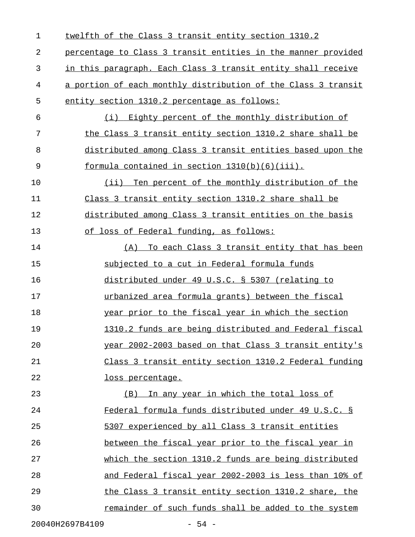| 1  | twelfth of the Class 3 transit entity section 1310.2          |
|----|---------------------------------------------------------------|
| 2  | percentage to Class 3 transit entities in the manner provided |
| 3  | in this paragraph. Each Class 3 transit entity shall receive  |
| 4  | a portion of each monthly distribution of the Class 3 transit |
| 5  | entity section 1310.2 percentage as follows:                  |
| 6  | Eighty percent of the monthly distribution of<br>(i)          |
| 7  | the Class 3 transit entity section 1310.2 share shall be      |
| 8  | distributed among Class 3 transit entities based upon the     |
| 9  | formula contained in section 1310(b)(6)(iii).                 |
| 10 | (ii) Ten percent of the monthly distribution of the           |
| 11 | Class 3 transit entity section 1310.2 share shall be          |
| 12 | distributed among Class 3 transit entities on the basis       |
| 13 | of loss of Federal funding, as follows:                       |
| 14 | (A) To each Class 3 transit entity that has been              |
| 15 | subjected to a cut in Federal formula funds                   |
| 16 | distributed under 49 U.S.C. § 5307 (relating to               |
| 17 | urbanized area formula grants) between the fiscal             |
| 18 | year prior to the fiscal year in which the section            |
| 19 | 1310.2 funds are being distributed and Federal fiscal         |
| 20 | year 2002-2003 based on that Class 3 transit entity's         |
| 21 | Class 3 transit entity section 1310.2 Federal funding         |
| 22 | loss percentage.                                              |
| 23 | In any year in which the total loss of<br>(B)                 |
| 24 | Federal formula funds distributed under 49 U.S.C. §           |
| 25 | 5307 experienced by all Class 3 transit entities              |
| 26 | between the fiscal year prior to the fiscal year in           |
| 27 | which the section 1310.2 funds are being distributed          |
| 28 | and Federal fiscal year 2002-2003 is less than 10% of         |
| 29 | the Class 3 transit entity section 1310.2 share, the          |
| 30 | remainder of such funds shall be added to the system          |
|    | 20040H2697B4109<br>$-54 -$                                    |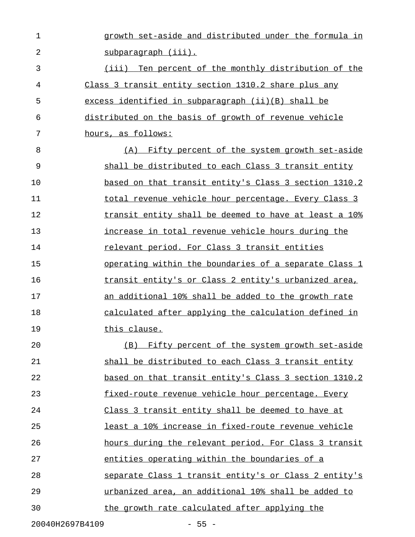| $\mathbf 1$ | growth set-aside and distributed under the formula in |
|-------------|-------------------------------------------------------|
| 2           | subparagraph (iii).                                   |
| 3           | (iii) Ten percent of the monthly distribution of the  |
| 4           | Class 3 transit entity section 1310.2 share plus any  |
| 5           | excess identified in subparagraph (ii) (B) shall be   |
| 6           | distributed on the basis of growth of revenue vehicle |
| 7           | hours, as follows:                                    |
| 8           | (A) Fifty percent of the system growth set-aside      |
| 9           | shall be distributed to each Class 3 transit entity   |
| 10          | based on that transit entity's Class 3 section 1310.2 |
| 11          | total revenue vehicle hour percentage. Every Class 3  |
| 12          | transit entity shall be deemed to have at least a 10% |
| 13          | increase in total revenue vehicle hours during the    |
| 14          | relevant period. For Class 3 transit entities         |
| 15          | operating within the boundaries of a separate Class 1 |
| 16          | transit entity's or Class 2 entity's urbanized area,  |
| 17          | an additional 10% shall be added to the growth rate   |
| 18          | calculated after applying the calculation defined in  |
| 19          | this clause.                                          |
| 20          | (B) Fifty percent of the system growth set-aside      |
| 21          | shall be distributed to each Class 3 transit entity   |
| 22          | based on that transit entity's Class 3 section 1310.2 |
| 23          | fixed-route revenue vehicle hour percentage. Every    |
| 24          | Class 3 transit entity shall be deemed to have at     |
| 25          | least a 10% increase in fixed-route revenue vehicle   |
| 26          | hours during the relevant period. For Class 3 transit |
| 27          | entities operating within the boundaries of a         |
| 28          | separate Class 1 transit entity's or Class 2 entity's |
| 29          | urbanized area, an additional 10% shall be added to   |
| 30          | the growth rate calculated after applying the         |
|             |                                                       |

20040H2697B4109 - 55 -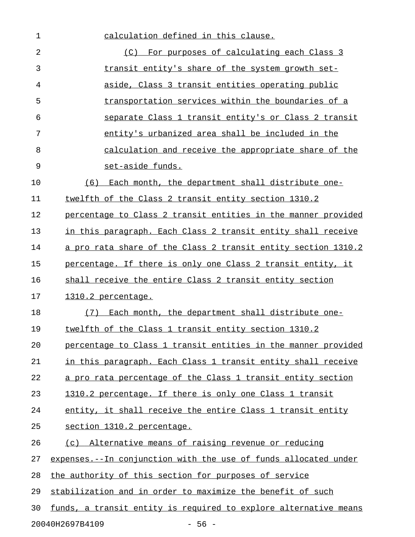1 calculation defined in this clause. 2 The contract of calculating each Class 3  $\sim$ 3 transit entity's share of the system growth set-4 aside, Class 3 transit entities operating public \_\_\_\_\_\_\_\_\_\_\_\_\_\_\_\_\_\_\_\_\_\_\_\_\_\_\_\_\_\_\_\_\_\_\_\_\_\_\_\_\_\_\_\_\_\_\_\_ 5 transportation services within the boundaries of a 6 5eparate Class 1 transit entity's or Class 2 transit 7 entity's urbanized area shall be included in the 8 calculation and receive the appropriate share of the 9 set-aside funds. 10 (6) Each month, the department shall distribute one-11 twelfth of the Class 2 transit entity section 1310.2 12 percentage to Class 2 transit entities in the manner provided 13 in this paragraph. Each Class 2 transit entity shall receive 14 a pro rata share of the Class 2 transit entity section 1310.2 15 percentage. If there is only one Class 2 transit entity, it 16 shall receive the entire Class 2 transit entity section 17 1310.2 percentage. 18 (7) Each month, the department shall distribute one-19 twelfth of the Class 1 transit entity section 1310.2 20 percentage to Class 1 transit entities in the manner provided 21 in this paragraph. Each Class 1 transit entity shall receive 22 a pro rata percentage of the Class 1 transit entity section 23 1310.2 percentage. If there is only one Class 1 transit 24 entity, it shall receive the entire Class 1 transit entity 25 section 1310.2 percentage. 26 (c) Alternative means of raising revenue or reducing 27 expenses.--In conjunction with the use of funds allocated under 28 the authority of this section for purposes of service 29 stabilization and in order to maximize the benefit of such 30 funds, a transit entity is required to explore alternative means 20040H2697B4109 - 56 -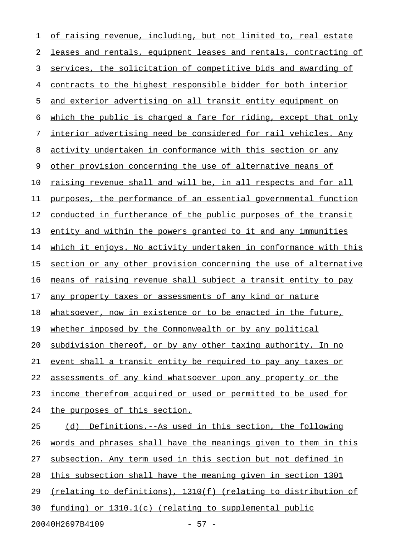1 of raising revenue, including, but not limited to, real estate 2 leases and rentals, equipment leases and rentals, contracting of 3 services, the solicitation of competitive bids and awarding of 4 contracts to the highest responsible bidder for both interior 5 and exterior advertising on all transit entity equipment on 6 which the public is charged a fare for riding, except that only 7 interior advertising need be considered for rail vehicles. Any 8 activity undertaken in conformance with this section or any 9 other provision concerning the use of alternative means of 10 raising revenue shall and will be, in all respects and for all 11 purposes, the performance of an essential governmental function 12 conducted in furtherance of the public purposes of the transit 13 entity and within the powers granted to it and any immunities 14 which it enjoys. No activity undertaken in conformance with this 15 section or any other provision concerning the use of alternative 16 means of raising revenue shall subject a transit entity to pay 17 any property taxes or assessments of any kind or nature 18 whatsoever, now in existence or to be enacted in the future, 19 whether imposed by the Commonwealth or by any political 20 subdivision thereof, or by any other taxing authority. In no 21 event shall a transit entity be required to pay any taxes or 22 assessments of any kind whatsoever upon any property or the 23 income therefrom acquired or used or permitted to be used for 24 the purposes of this section. 25 (d) Definitions.--As used in this section, the following 26 words and phrases shall have the meanings given to them in this 27 subsection. Any term used in this section but not defined in 28 this subsection shall have the meaning given in section 1301 29 (relating to definitions),  $1310(f)$  (relating to distribution of 30 funding) or  $1310.1(c)$  (relating to supplemental public 20040H2697B4109 - 57 -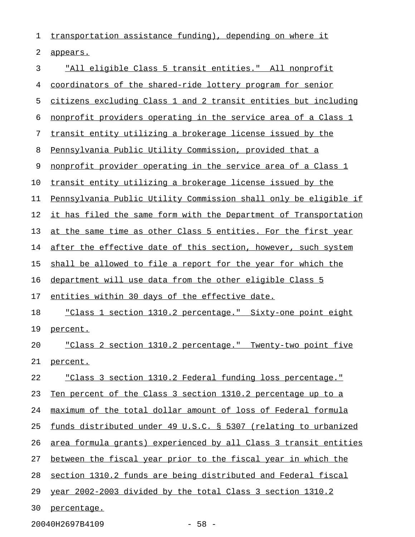1 transportation assistance funding), depending on where it 2 appears. 3 "All eligible Class 5 transit entities." All nonprofit 4 coordinators of the shared-ride lottery program for senior 5 citizens excluding Class 1 and 2 transit entities but including 6 nonprofit providers operating in the service area of a Class 1 7 transit entity utilizing a brokerage license issued by the 8 Pennsylvania Public Utility Commission, provided that a 9 nonprofit provider operating in the service area of a Class 1 10 transit entity utilizing a brokerage license issued by the 11 Pennsylvania Public Utility Commission shall only be eligible if 12 it has filed the same form with the Department of Transportation 13 at the same time as other Class 5 entities. For the first year 14 after the effective date of this section, however, such system 15 shall be allowed to file a report for the year for which the 16 department will use data from the other eligible Class 5 17 entities within 30 days of the effective date. 18 "Class 1 section 1310.2 percentage." Sixty-one point eight 19 percent. 20 "Class 2 section 1310.2 percentage." Twenty-two point five 21 percent. 22 "Class 3 section 1310.2 Federal funding loss percentage." 23 Ten percent of the Class 3 section 1310.2 percentage up to a 24 maximum of the total dollar amount of loss of Federal formula 25 funds distributed under 49 U.S.C. § 5307 (relating to urbanized 26 area formula grants) experienced by all Class 3 transit entities 27 between the fiscal year prior to the fiscal year in which the 28 section 1310.2 funds are being distributed and Federal fiscal 29 year 2002-2003 divided by the total Class 3 section  $1310.2$ 30 percentage.

20040H2697B4109 - 58 -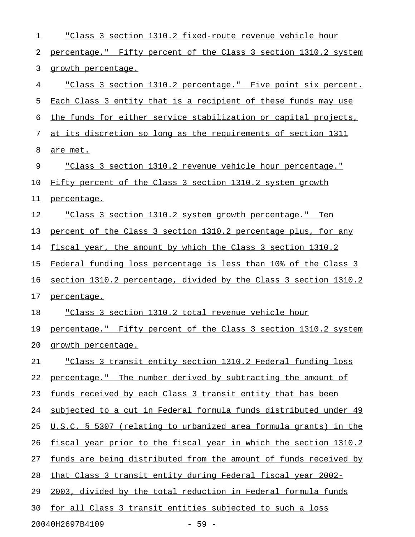| 1  | "Class 3 section 1310.2 fixed-route revenue vehicle hour         |
|----|------------------------------------------------------------------|
| 2  | percentage." Fifty percent of the Class 3 section 1310.2 system  |
| 3  | growth percentage.                                               |
| 4  | "Class 3 section 1310.2 percentage." Five point six percent.     |
| 5  | Each Class 3 entity that is a recipient of these funds may use   |
| 6  | the funds for either service stabilization or capital projects,  |
| 7  | at its discretion so long as the requirements of section 1311    |
| 8  | are met.                                                         |
| 9  | "Class 3 section 1310.2 revenue vehicle hour percentage."        |
| 10 | Fifty percent of the Class 3 section 1310.2 system growth        |
| 11 | percentage.                                                      |
| 12 | "Class 3 section 1310.2 system growth percentage." Ten           |
| 13 | percent of the Class 3 section 1310.2 percentage plus, for any   |
| 14 | fiscal year, the amount by which the Class 3 section 1310.2      |
| 15 | Federal funding loss percentage is less than 10% of the Class 3  |
| 16 | section 1310.2 percentage, divided by the Class 3 section 1310.2 |
| 17 | percentage.                                                      |
| 18 | "Class 3 section 1310.2 total revenue vehicle hour               |
| 19 | percentage." Fifty percent of the Class 3 section 1310.2 system  |
| 20 | growth percentage.                                               |
| 21 | "Class 3 transit entity section 1310.2 Federal funding loss      |
| 22 | percentage." The number derived by subtracting the amount of     |
| 23 | funds received by each Class 3 transit entity that has been      |
| 24 | subjected to a cut in Federal formula funds distributed under 49 |
| 25 | U.S.C. § 5307 (relating to urbanized area formula grants) in the |
| 26 | fiscal year prior to the fiscal year in which the section 1310.2 |
| 27 | funds are being distributed from the amount of funds received by |
| 28 | that Class 3 transit entity during Federal fiscal year 2002-     |
| 29 | 2003, divided by the total reduction in Federal formula funds    |
| 30 | for all Class 3 transit entities subjected to such a loss        |
|    | 20040H2697B4109<br>$-59 -$                                       |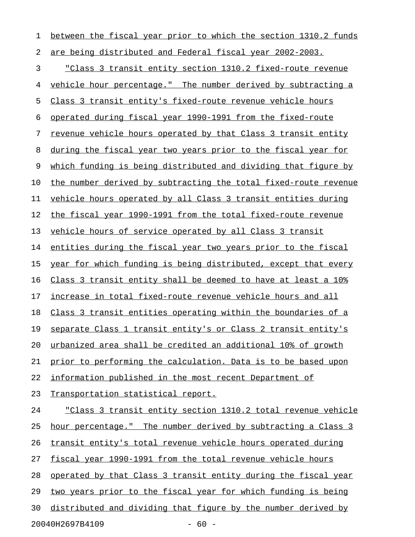1 between the fiscal year prior to which the section 1310.2 funds 2 are being distributed and Federal fiscal year 2002-2003.

3 "Class 3 transit entity section 1310.2 fixed-route revenue 4 vehicle hour percentage." The number derived by subtracting a 5 Class 3 transit entity's fixed-route revenue vehicle hours 6 operated during fiscal year  $1990-1991$  from the fixed-route 7 revenue vehicle hours operated by that Class 3 transit entity 8 during the fiscal year two years prior to the fiscal year for 9 which funding is being distributed and dividing that figure by 10 the number derived by subtracting the total fixed-route revenue 11 vehicle hours operated by all Class 3 transit entities during 12 the fiscal year 1990-1991 from the total fixed-route revenue 13 vehicle hours of service operated by all Class 3 transit 14 entities during the fiscal year two years prior to the fiscal 15 year for which funding is being distributed, except that every 16 Class 3 transit entity shall be deemed to have at least a 10% 17 increase in total fixed-route revenue vehicle hours and all 18 Class 3 transit entities operating within the boundaries of a 19 separate Class 1 transit entity's or Class 2 transit entity's 20 urbanized area shall be credited an additional 10% of growth 21 prior to performing the calculation. Data is to be based upon 22 information published in the most recent Department of 23 Transportation statistical report. 24 "Class 3 transit entity section 1310.2 total revenue vehicle 25 hour percentage." The number derived by subtracting a Class 3 26 transit entity's total revenue vehicle hours operated during 27 fiscal year 1990-1991 from the total revenue vehicle hours 28 operated by that Class 3 transit entity during the fiscal year 29 two years prior to the fiscal year for which funding is being 30 distributed and dividing that figure by the number derived by 20040H2697B4109 - 60 -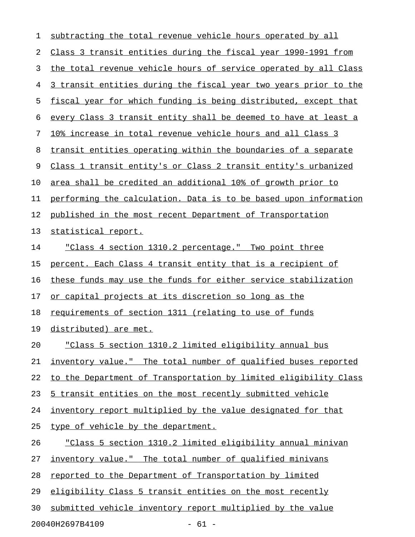| 1  | subtracting the total revenue vehicle hours operated by all      |
|----|------------------------------------------------------------------|
| 2  | Class 3 transit entities during the fiscal year 1990-1991 from   |
| 3  | the total revenue vehicle hours of service operated by all Class |
| 4  | 3 transit entities during the fiscal year two years prior to the |
| 5  | fiscal year for which funding is being distributed, except that  |
| 6  | every Class 3 transit entity shall be deemed to have at least a  |
| 7  | 10% increase in total revenue vehicle hours and all Class 3      |
| 8  | transit entities operating within the boundaries of a separate   |
| 9  | Class 1 transit entity's or Class 2 transit entity's urbanized   |
| 10 | area shall be credited an additional 10% of growth prior to      |
| 11 | performing the calculation. Data is to be based upon information |
| 12 | published in the most recent Department of Transportation        |
| 13 | statistical report.                                              |
| 14 | "Class 4 section 1310.2 percentage." Two point three             |
| 15 | percent. Each Class 4 transit entity that is a recipient of      |
| 16 | these funds may use the funds for either service stabilization   |
| 17 | or capital projects at its discretion so long as the             |
| 18 | requirements of section 1311 (relating to use of funds           |
| 19 | distributed) are met.                                            |
| 20 | "Class 5 section 1310.2 limited eligibility annual bus           |
| 21 | inventory value." The total number of qualified buses reported   |
| 22 | to the Department of Transportation by limited eligibility Class |
| 23 | 5 transit entities on the most recently submitted vehicle        |
| 24 | inventory report multiplied by the value designated for that     |
| 25 | type of vehicle by the department.                               |
| 26 | "Class 5 section 1310.2 limited eligibility annual minivan       |
| 27 | inventory value." The total number of qualified minivans         |
| 28 | reported to the Department of Transportation by limited          |
| 29 | eligibility Class 5 transit entities on the most recently        |
| 30 | submitted vehicle inventory report multiplied by the value       |
|    |                                                                  |

20040H2697B4109 - 61 -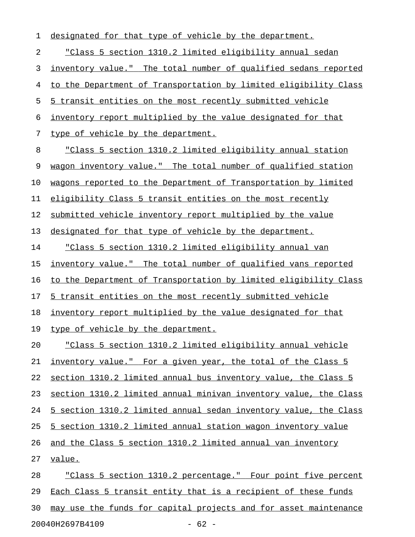2 "Class 5 section 1310.2 limited eligibility annual sedan \_\_\_\_\_\_\_\_\_\_\_\_\_\_\_\_\_\_\_\_\_\_\_\_\_\_\_\_\_\_\_\_\_\_\_\_\_\_\_\_\_\_\_\_\_\_\_\_\_\_\_\_\_\_\_\_ 3 inventory value." The total number of qualified sedans reported 4 to the Department of Transportation by limited eligibility Class 5 5 transit entities on the most recently submitted vehicle 6 inventory report multiplied by the value designated for that 7 type of vehicle by the department. 8 "Class 5 section 1310.2 limited eligibility annual station 9 wagon inventory value." The total number of qualified station 10 wagons reported to the Department of Transportation by limited 11 eligibility Class 5 transit entities on the most recently 12 submitted vehicle inventory report multiplied by the value 13 designated for that type of vehicle by the department. 14 "Class 5 section 1310.2 limited eligibility annual van 15 inventory value." The total number of qualified vans reported 16 to the Department of Transportation by limited eligibility Class 17 5 transit entities on the most recently submitted vehicle 18 inventory report multiplied by the value designated for that 19 type of vehicle by the department. 20 "Class 5 section 1310.2 limited eligibility annual vehicle 21 inventory value." For a given year, the total of the Class 5 22 section 1310.2 limited annual bus inventory value, the Class 5 23 section 1310.2 limited annual minivan inventory value, the Class 24 5 section 1310.2 limited annual sedan inventory value, the Class 25 5 section 1310.2 limited annual station wagon inventory value 26 and the Class 5 section 1310.2 limited annual van inventory 27 value. 28 "Class 5 section 1310.2 percentage." Four point five percent 29 Each Class 5 transit entity that is a recipient of these funds 30 may use the funds for capital projects and for asset maintenance

1 designated for that type of vehicle by the department.

20040H2697B4109 - 62 -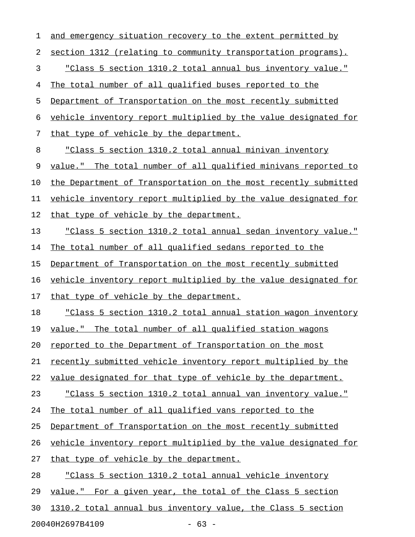| and emergency situation recovery to the extent permitted by         |
|---------------------------------------------------------------------|
| section 1312 (relating to community transportation programs).       |
| "Class 5 section 1310.2 total annual bus inventory value."          |
| The total number of all qualified buses reported to the             |
| Department of Transportation on the most recently submitted         |
| vehicle inventory report multiplied by the value designated for     |
| that type of vehicle by the department.                             |
| "Class 5 section 1310.2 total annual minivan inventory              |
| value." The total number of all qualified minivans reported to      |
| the Department of Transportation on the most recently submitted     |
| vehicle inventory report multiplied by the value designated for     |
| that type of vehicle by the department.                             |
| "Class 5 section 1310.2 total annual sedan inventory value."        |
| The total number of all qualified sedans reported to the            |
| Department of Transportation on the most recently submitted         |
| vehicle inventory report multiplied by the value designated for     |
| that type of vehicle by the department.                             |
| <u>"Class 5 section 1310.2 total annual station wagon inventory</u> |
| value." The total number of all qualified station wagons            |
| reported to the Department of Transportation on the most            |
| recently submitted vehicle inventory report multiplied by the       |
| value designated for that type of vehicle by the department.        |
| "Class 5 section 1310.2 total annual van inventory value."          |
| The total number of all qualified vans reported to the              |
| Department of Transportation on the most recently submitted         |
| vehicle inventory report multiplied by the value designated for     |
| that type of vehicle by the department.                             |
| "Class 5 section 1310.2 total annual vehicle inventory              |
| value." For a given year, the total of the Class 5 section          |
|                                                                     |
|                                                                     |

20040H2697B4109 - 63 -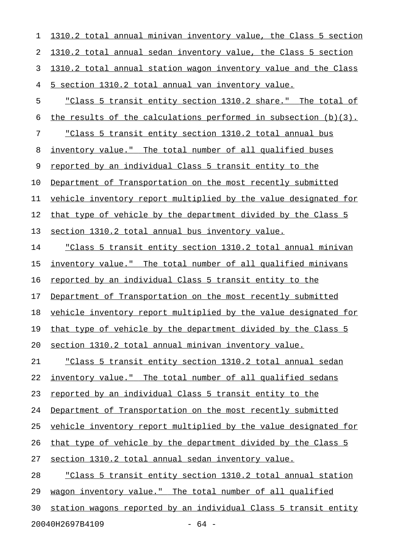1 1310.2 total annual minivan inventory value, the Class 5 section 2 1310.2 total annual sedan inventory value, the Class 5 section 3 1310.2 total annual station wagon inventory value and the Class 4 5 section 1310.2 total annual van inventory value. 5 "Class 5 transit entity section 1310.2 share." The total of 6 the results of the calculations performed in subsection  $(b)(3)$ . 7 "Class 5 transit entity section 1310.2 total annual bus 8 inventory value." The total number of all qualified buses 9 reported by an individual Class 5 transit entity to the 10 Department of Transportation on the most recently submitted 11 vehicle inventory report multiplied by the value designated for 12 that type of vehicle by the department divided by the Class 5 13 section 1310.2 total annual bus inventory value. 14 "Class 5 transit entity section 1310.2 total annual minivan 15 inventory value." The total number of all qualified minivans 16 reported by an individual Class 5 transit entity to the 17 Department of Transportation on the most recently submitted 18 vehicle inventory report multiplied by the value designated for 19 that type of vehicle by the department divided by the Class 5 20 section 1310.2 total annual minivan inventory value. 21 "Class 5 transit entity section 1310.2 total annual sedan 22 inventory value." The total number of all qualified sedans 23 reported by an individual Class 5 transit entity to the 24 Department of Transportation on the most recently submitted 25 vehicle inventory report multiplied by the value designated for 26 that type of vehicle by the department divided by the Class 5 27 section 1310.2 total annual sedan inventory value. 28 "Class 5 transit entity section 1310.2 total annual station 29 wagon inventory value." The total number of all qualified 30 station wagons reported by an individual Class 5 transit entity

20040H2697B4109 - 64 -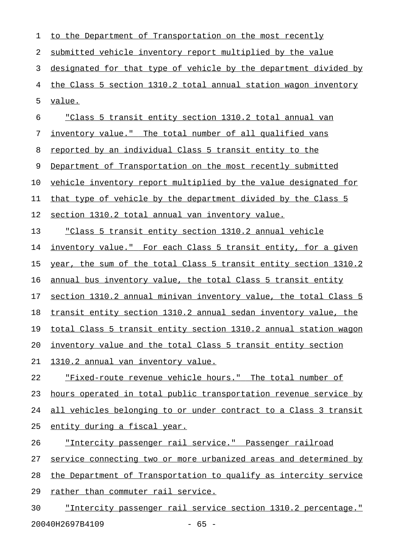| 1  | to the Department of Transportation on the most recently             |
|----|----------------------------------------------------------------------|
| 2  | submitted vehicle inventory report multiplied by the value           |
| 3  | designated for that type of vehicle by the department divided by     |
| 4  | the Class 5 section 1310.2 total annual station wagon inventory      |
| 5  | value.                                                               |
| 6  | "Class 5 transit entity section 1310.2 total annual van              |
| 7  | inventory value." The total number of all qualified vans             |
| 8  | reported by an individual Class 5 transit entity to the              |
| 9  | Department of Transportation on the most recently submitted          |
| 10 | vehicle inventory report multiplied by the value designated for      |
| 11 | <u>that type of vehicle by the department divided by the Class 5</u> |
| 12 | section 1310.2 total annual van inventory value.                     |
| 13 | "Class 5 transit entity section 1310.2 annual vehicle                |
| 14 | inventory value." For each Class 5 transit entity, for a given       |
| 15 | year, the sum of the total Class 5 transit entity section 1310.2     |
| 16 | annual bus inventory value, the total Class 5 transit entity         |
| 17 | section 1310.2 annual minivan inventory value, the total Class 5     |
| 18 | transit entity section 1310.2 annual sedan inventory value, the      |
| 19 | total Class 5 transit entity section 1310.2 annual station wagon     |
| 20 | inventory value and the total Class 5 transit entity section         |
| 21 | 1310.2 annual van inventory value.                                   |
| 22 | "Fixed-route revenue vehicle hours." The total number of             |
| 23 | hours operated in total public transportation revenue service by     |
| 24 | all vehicles belonging to or under contract to a Class 3 transit     |
| 25 | entity during a fiscal year.                                         |
| 26 | "Intercity passenger rail service." Passenger railroad               |
| 27 | service connecting two or more urbanized areas and determined by     |
| 28 | the Department of Transportation to qualify as intercity service     |
| 29 | rather than commuter rail service.                                   |
| 30 | "Intercity passenger rail service section 1310.2 percentage."        |

20040H2697B4109 - 65 -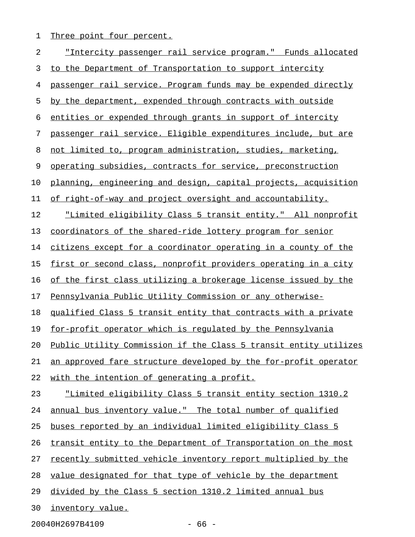1 Three point four percent.

| 2  | <u>"Intercity passenger rail service program." Funds allocated</u> |
|----|--------------------------------------------------------------------|
| 3  | to the Department of Transportation to support intercity           |
| 4  | passenger rail service. Program funds may be expended directly     |
| 5  | by the department, expended through contracts with outside         |
| 6  | entities or expended through grants in support of intercity        |
| 7  | passenger rail service. Eligible expenditures include, but are     |
| 8  | not limited to, program administration, studies, marketing,        |
| 9  | operating subsidies, contracts for service, preconstruction        |
| 10 | planning, engineering and design, capital projects, acquisition    |
| 11 | of right-of-way and project oversight and accountability.          |
| 12 | <u>"Limited eligibility Class 5 transit entity." All nonprofit</u> |
| 13 | coordinators of the shared-ride lottery program for senior         |
| 14 | citizens except for a coordinator operating in a county of the     |
| 15 | first or second class, nonprofit providers operating in a city     |
| 16 | of the first class utilizing a brokerage license issued by the     |
| 17 | Pennsylvania Public Utility Commission or any otherwise-           |
| 18 | qualified Class 5 transit entity that contracts with a private     |
| 19 | for-profit operator which is regulated by the Pennsylvania         |
| 20 | Public Utility Commission if the Class 5 transit entity utilizes   |
| 21 | an approved fare structure developed by the for-profit operator    |
| 22 | with the intention of generating a profit.                         |
| 23 | "Limited eligibility Class 5 transit entity section 1310.2         |
| 24 | annual bus inventory value." The total number of qualified         |
| 25 | buses reported by an individual limited eligibility Class 5        |
| 26 | transit entity to the Department of Transportation on the most     |
| 27 | recently submitted vehicle inventory report multiplied by the      |
| 28 | value designated for that type of vehicle by the department        |
| 29 | divided by the Class 5 section 1310.2 limited annual bus           |
| 30 | inventory value.                                                   |

20040H2697B4109 - 66 -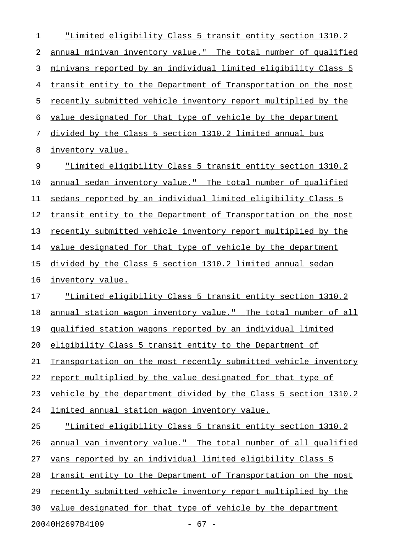1 "Limited eligibility Class 5 transit entity section 1310.2 2 annual minivan inventory value." The total number of qualified 3 minivans reported by an individual limited eligibility Class 5 4 transit entity to the Department of Transportation on the most 5 recently submitted vehicle inventory report multiplied by the 6 value designated for that type of vehicle by the department 7 divided by the Class 5 section 1310.2 limited annual bus 8 inventory value. 9 "Limited eligibility Class 5 transit entity section 1310.2 10 annual sedan inventory value." The total number of qualified 11 sedans reported by an individual limited eligibility Class 5 12 transit entity to the Department of Transportation on the most 13 recently submitted vehicle inventory report multiplied by the 14 value designated for that type of vehicle by the department 15 divided by the Class 5 section 1310.2 limited annual sedan 16 inventory value. 17 "Limited eligibility Class 5 transit entity section 1310.2 18 annual station wagon inventory value." The total number of all 19 qualified station wagons reported by an individual limited 20 eligibility Class 5 transit entity to the Department of 21 Transportation on the most recently submitted vehicle inventory 22 report multiplied by the value designated for that type of 23 vehicle by the department divided by the Class 5 section 1310.2 24 limited annual station wagon inventory value. 25 "Limited eligibility Class 5 transit entity section 1310.2 26 annual van inventory value." The total number of all qualified 27 vans reported by an individual limited eligibility Class 5 28 transit entity to the Department of Transportation on the most 29 recently submitted vehicle inventory report multiplied by the 30 value designated for that type of vehicle by the department 20040H2697B4109 - 67 -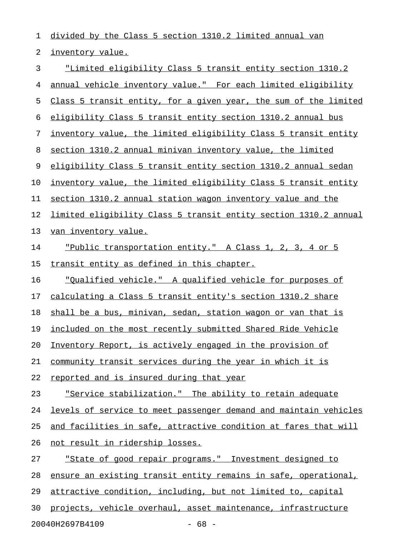1 divided by the Class 5 section 1310.2 limited annual van 2 inventory value. 3 "Limited eligibility Class 5 transit entity section 1310.2 4 annual vehicle inventory value." For each limited eligibility 5 Class 5 transit entity, for a given year, the sum of the limited 6 eligibility Class 5 transit entity section 1310.2 annual bus 7 inventory value, the limited eligibility Class 5 transit entity 8 section 1310.2 annual minivan inventory value, the limited 9 eligibility Class 5 transit entity section 1310.2 annual sedan 10 inventory value, the limited eligibility Class 5 transit entity 11 section 1310.2 annual station wagon inventory value and the 12 limited eligibility Class 5 transit entity section 1310.2 annual 13 van inventory value. 14 Public transportation entity." A Class 1, 2, 3, 4 or 5 15 transit entity as defined in this chapter. 16 "Qualified vehicle." A qualified vehicle for purposes of 17 calculating a Class 5 transit entity's section 1310.2 share 18 shall be a bus, minivan, sedan, station wagon or van that is 19 included on the most recently submitted Shared Ride Vehicle 20 Inventory Report, is actively engaged in the provision of 21 community transit services during the year in which it is 22 reported and is insured during that year 23 Service stabilization." The ability to retain adequate 24 levels of service to meet passenger demand and maintain vehicles 25 and facilities in safe, attractive condition at fares that will 26 not result in ridership losses. 27 "State of good repair programs." Investment designed to 28 ensure an existing transit entity remains in safe, operational, 29 attractive condition, including, but not limited to, capital 30 projects, vehicle overhaul, asset maintenance, infrastructure

20040H2697B4109 - 68 -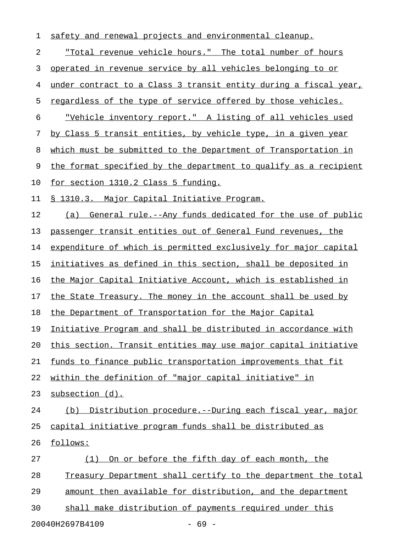| 1                          | safety and renewal projects and environmental cleanup.               |  |
|----------------------------|----------------------------------------------------------------------|--|
| 2                          | "Total revenue vehicle hours." The total number of hours             |  |
| 3                          | <u>operated in revenue service by all vehicles belonging to or</u>   |  |
| 4                          | under contract to a Class 3 transit entity during a fiscal year,     |  |
| 5                          | regardless of the type of service offered by those vehicles.         |  |
| 6                          | "Vehicle inventory report." A listing of all vehicles used           |  |
| 7                          | by Class 5 transit entities, by vehicle type, in a given year        |  |
| 8                          | which must be submitted to the Department of Transportation in       |  |
| 9                          | the format specified by the department to qualify as a recipient     |  |
| 10                         | for section 1310.2 Class 5 funding.                                  |  |
| 11                         | <u>§ 1310.3. Major Capital Initiative Program.</u>                   |  |
| 12                         | (a) General rule.--Any funds dedicated for the use of public         |  |
| 13                         | passenger transit entities out of General Fund revenues, the         |  |
| 14                         | expenditure of which is permitted exclusively for major capital      |  |
| 15                         | <u>initiatives as defined in this section, shall be deposited in</u> |  |
| 16                         | the Major Capital Initiative Account, which is established in        |  |
| 17                         | the State Treasury. The money in the account shall be used by        |  |
| 18                         | the Department of Transportation for the Major Capital               |  |
| 19                         | Initiative Program and shall be distributed in accordance with       |  |
| 20                         | this section. Transit entities may use major capital initiative      |  |
| 21                         | funds to finance public transportation improvements that fit         |  |
| 22                         | within the definition of "major capital initiative" in               |  |
| 23                         | subsection (d).                                                      |  |
| 24                         | Distribution procedure.--During each fiscal year, major<br>(b)       |  |
| 25                         | capital initiative program funds shall be distributed as             |  |
| 26                         | follows:                                                             |  |
| 27                         | On or before the fifth day of each month, the<br>(1)                 |  |
| 28                         | Treasury Department shall certify to the department the total        |  |
| 29                         | amount then available for distribution, and the department           |  |
| 30                         | shall make distribution of payments required under this              |  |
| 20040H2697B4109<br>$-69 -$ |                                                                      |  |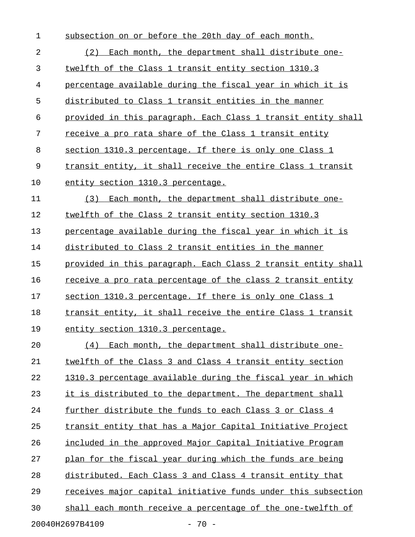| $\mathbf 1$               | subsection on or before the 20th day of each month.           |  |
|---------------------------|---------------------------------------------------------------|--|
| 2                         | Each month, the department shall distribute one-<br>(2)       |  |
| 3                         | twelfth of the Class 1 transit entity section 1310.3          |  |
| 4                         | percentage available during the fiscal year in which it is    |  |
| 5                         | distributed to Class 1 transit entities in the manner         |  |
| 6                         | provided in this paragraph. Each Class 1 transit entity shall |  |
| 7                         | receive a pro rata share of the Class 1 transit entity        |  |
| 8                         | section 1310.3 percentage. If there is only one Class 1       |  |
| 9                         | transit entity, it shall receive the entire Class 1 transit   |  |
| 10                        | entity section 1310.3 percentage.                             |  |
| 11                        | (3)<br>Each month, the department shall distribute one-       |  |
| 12                        | twelfth of the Class 2 transit entity section 1310.3          |  |
| 13                        | percentage available during the fiscal year in which it is    |  |
| 14                        | distributed to Class 2 transit entities in the manner         |  |
| 15                        | provided in this paragraph. Each Class 2 transit entity shall |  |
| 16                        | receive a pro rata percentage of the class 2 transit entity   |  |
| 17                        | section 1310.3 percentage. If there is only one Class 1       |  |
| 18                        | transit entity, it shall receive the entire Class 1 transit   |  |
| 19                        | entity section 1310.3 percentage.                             |  |
| 20                        | Each month, the department shall distribute one-<br>(4)       |  |
| 21                        | twelfth of the Class 3 and Class 4 transit entity section     |  |
| 22                        | 1310.3 percentage available during the fiscal year in which   |  |
| 23                        | it is distributed to the department. The department shall     |  |
| 24                        | further distribute the funds to each Class 3 or Class 4       |  |
| 25                        | transit entity that has a Major Capital Initiative Project    |  |
| 26                        | included in the approved Major Capital Initiative Program     |  |
| 27                        | plan for the fiscal year during which the funds are being     |  |
| 28                        | distributed. Each Class 3 and Class 4 transit entity that     |  |
| 29                        | receives major capital initiative funds under this subsection |  |
| 30                        | shall each month receive a percentage of the one-twelfth of   |  |
| 20040H2697B4109<br>$70 -$ |                                                               |  |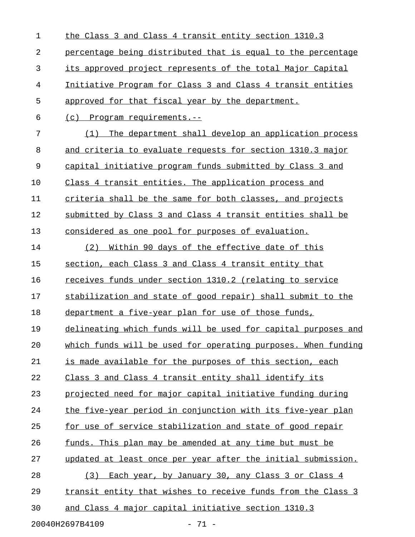| 1                          | the Class 3 and Class 4 transit entity section 1310.3         |  |
|----------------------------|---------------------------------------------------------------|--|
| 2                          | percentage being distributed that is equal to the percentage  |  |
| 3                          | its approved project represents of the total Major Capital    |  |
| 4                          | Initiative Program for Class 3 and Class 4 transit entities   |  |
| 5                          | approved for that fiscal year by the department.              |  |
| 6                          | <u>(c) Program requirements.--</u>                            |  |
| 7                          | The department shall develop an application process<br>(1)    |  |
| 8                          | and criteria to evaluate requests for section 1310.3 major    |  |
| 9                          | capital initiative program funds submitted by Class 3 and     |  |
| 10                         | Class 4 transit entities. The application process and         |  |
| 11                         | criteria shall be the same for both classes, and projects     |  |
| 12                         | submitted by Class 3 and Class 4 transit entities shall be    |  |
| 13                         | considered as one pool for purposes of evaluation.            |  |
| 14                         | <u>Within 90 days of the effective date of this</u><br>(2)    |  |
| 15                         | section, each Class 3 and Class 4 transit entity that         |  |
| 16                         | receives funds under section 1310.2 (relating to service      |  |
| 17                         | stabilization and state of good repair) shall submit to the   |  |
| 18                         | department a five-year plan for use of those funds,           |  |
| 19                         | delineating which funds will be used for capital purposes and |  |
| 20                         | which funds will be used for operating purposes. When funding |  |
| 21                         | is made available for the purposes of this section, each      |  |
| 22                         | Class 3 and Class 4 transit entity shall identify its         |  |
| 23                         | projected need for major capital initiative funding during    |  |
| 24                         | the five-year period in conjunction with its five-year plan   |  |
| 25                         | for use of service stabilization and state of good repair     |  |
| 26                         | funds. This plan may be amended at any time but must be       |  |
| 27                         | updated at least once per year after the initial submission.  |  |
| 28                         | Each year, by January 30, any Class 3 or Class 4<br>(3)       |  |
| 29                         | transit entity that wishes to receive funds from the Class 3  |  |
| 30                         | and Class 4 major capital initiative section 1310.3           |  |
| 20040H2697B4109<br>$-71 -$ |                                                               |  |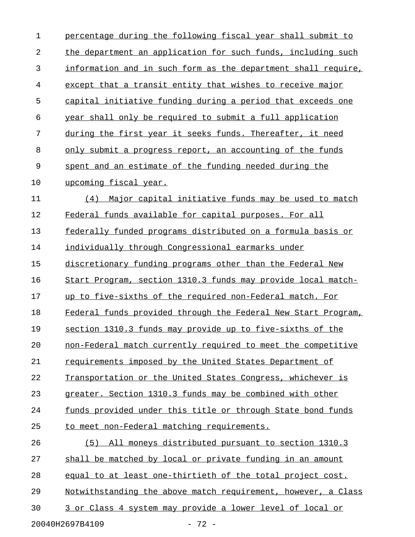| $\mathbf 1$ | percentage during the following fiscal year shall submit to   |  |  |
|-------------|---------------------------------------------------------------|--|--|
| 2           | the department an application for such funds, including such  |  |  |
| 3           | information and in such form as the department shall require, |  |  |
| 4           | except that a transit entity that wishes to receive major     |  |  |
| 5           | capital initiative funding during a period that exceeds one   |  |  |
| 6           | year shall only be required to submit a full application      |  |  |
| 7           | during the first year it seeks funds. Thereafter, it need     |  |  |
| 8           | only submit a progress report, an accounting of the funds     |  |  |
| 9           | spent and an estimate of the funding needed during the        |  |  |
| 10          | upcoming fiscal year.                                         |  |  |
| 11          | Major capital initiative funds may be used to match<br>(4)    |  |  |
| 12          | Federal funds available for capital purposes. For all         |  |  |
| 13          | federally funded programs distributed on a formula basis or   |  |  |
| 14          | individually through Congressional earmarks under             |  |  |
| 15          | discretionary funding programs other than the Federal New     |  |  |
| 16          | Start Program, section 1310.3 funds may provide local match-  |  |  |
| 17          | up to five-sixths of the required non-Federal match. For      |  |  |
| 18          | Federal funds provided through the Federal New Start Program, |  |  |
| 19          | section 1310.3 funds may provide up to five-sixths of the     |  |  |
| 20          | non-Federal match currently required to meet the competitive  |  |  |
| 21          | requirements imposed by the United States Department of       |  |  |
| 22          | Transportation or the United States Congress, whichever is    |  |  |
| 23          | greater. Section 1310.3 funds may be combined with other      |  |  |
| 24          | funds provided under this title or through State bond funds   |  |  |
| 25          | to meet non-Federal matching requirements.                    |  |  |
| 26          | All moneys distributed pursuant to section 1310.3<br>(5)      |  |  |
| 27          | shall be matched by local or private funding in an amount     |  |  |
| 28          | equal to at least one-thirtieth of the total project cost.    |  |  |
| 29          | Notwithstanding the above match requirement, however, a Class |  |  |
| 30          | 3 or Class 4 system may provide a lower level of local or     |  |  |
|             | 20040H2697B4109<br>$-72 -$                                    |  |  |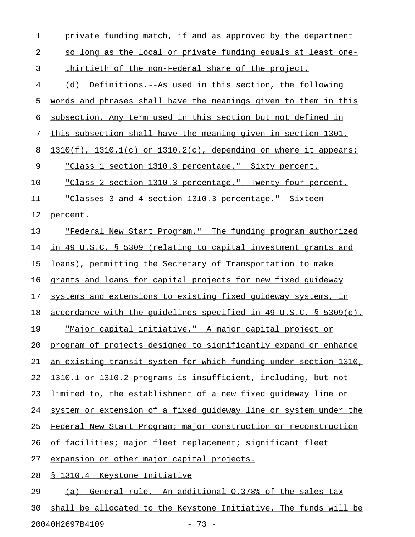| $\mathbf 1$ | private funding match, if and as approved by the department             |
|-------------|-------------------------------------------------------------------------|
| 2           | so long as the local or private funding equals at least one-            |
| 3           | thirtieth of the non-Federal share of the project.                      |
| 4           | (d) Definitions.--As used in this section, the following                |
| 5           | words and phrases shall have the meanings given to them in this         |
| 6           | subsection. Any term used in this section but not defined in            |
| 7           | this subsection shall have the meaning given in section 1301,           |
| 8           | $1310(f)$ , $1310.1(c)$ or $1310.2(c)$ , depending on where it appears: |
| 9           | "Class 1 section 1310.3 percentage." Sixty percent.                     |
| 10          | "Class 2 section 1310.3 percentage." Twenty-four percent.               |
| 11          | "Classes 3 and 4 section 1310.3 percentage." Sixteen                    |
| 12          | percent.                                                                |
| 13          | "Federal New Start Program." The funding program authorized             |
| 14          | in 49 U.S.C. § 5309 (relating to capital investment grants and          |
| 15          | loans), permitting the Secretary of Transportation to make              |
| 16          | grants and loans for capital projects for new fixed guideway            |
| 17          | systems and extensions to existing fixed quideway systems, in           |
| 18          | accordance with the quidelines specified in 49 U.S.C. § 5309(e).        |
| 19          | <u>"Major capital initiative." A major capital project or</u>           |
| 20          | program of projects designed to significantly expand or enhance         |
| 21          | an existing transit system for which funding under section 1310,        |
| 22          | 1310.1 or 1310.2 programs is insufficient, including, but not           |
| 23          | limited to, the establishment of a new fixed quideway line or           |
| 24          | system or extension of a fixed quideway line or system under the        |
| 25          | Federal New Start Program; major construction or reconstruction         |
| 26          | of facilities; major fleet replacement; significant fleet               |
| 27          | expansion or other major capital projects.                              |
| 28          | <u>§ 1310.4 Keystone Initiative</u>                                     |
| 29          | (a) General rule.--An additional 0.378% of the sales tax                |
| 30          | shall be allocated to the Keystone Initiative. The funds will be        |

20040H2697B4109 - 73 -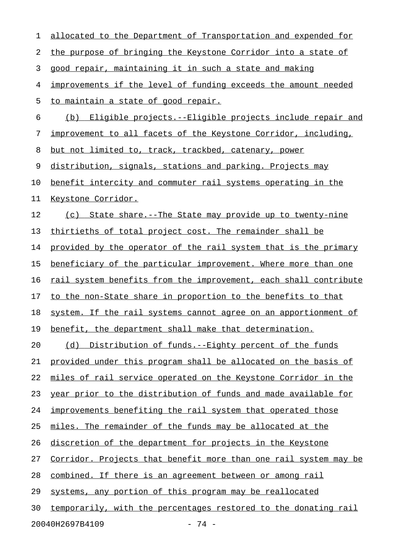| 1  | allocated to the Department of Transportation and expended for   |
|----|------------------------------------------------------------------|
| 2  | the purpose of bringing the Keystone Corridor into a state of    |
| 3  | good repair, maintaining it in such a state and making           |
| 4  | improvements if the level of funding exceeds the amount needed   |
| 5  | to maintain a state of good repair.                              |
| 6  | (b) Eligible projects.--Eligible projects include repair and     |
| 7  | improvement to all facets of the Keystone Corridor, including,   |
| 8  | but not limited to, track, trackbed, catenary, power             |
| 9  | distribution, signals, stations and parking. Projects may        |
| 10 | benefit intercity and commuter rail systems operating in the     |
| 11 | Keystone Corridor.                                               |
| 12 | (c) State share.--The State may provide up to twenty-nine        |
| 13 | thirtieths of total project cost. The remainder shall be         |
| 14 | provided by the operator of the rail system that is the primary  |
| 15 | beneficiary of the particular improvement. Where more than one   |
| 16 | rail system benefits from the improvement, each shall contribute |
| 17 | to the non-State share in proportion to the benefits to that     |
| 18 | system. If the rail systems cannot agree on an apportionment of  |
| 19 | benefit, the department shall make that determination.           |
| 20 | (d) Distribution of funds.--Eighty percent of the funds          |
| 21 | provided under this program shall be allocated on the basis of   |
| 22 | miles of rail service operated on the Keystone Corridor in the   |
| 23 | year prior to the distribution of funds and made available for   |
| 24 | improvements benefiting the rail system that operated those      |
| 25 | miles. The remainder of the funds may be allocated at the        |
| 26 | discretion of the department for projects in the Keystone        |
| 27 | Corridor. Projects that benefit more than one rail system may be |
| 28 | <u>combined. If there is an agreement between or among rail</u>  |
| 29 | systems, any portion of this program may be reallocated          |
| 30 | temporarily, with the percentages restored to the donating rail  |
|    | 20040H2697B4109<br>- 74 -                                        |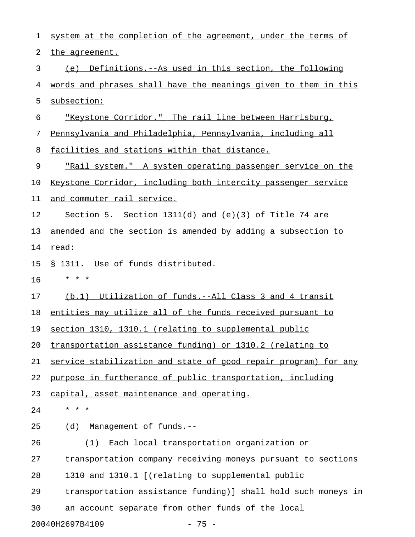| 1  | system at the completion of the agreement, under the terms of   |
|----|-----------------------------------------------------------------|
| 2  | the agreement.                                                  |
| 3  | (e) Definitions.--As used in this section, the following        |
| 4  | words and phrases shall have the meanings given to them in this |
| 5  | subsection:                                                     |
| 6  | "Keystone Corridor." The rail line between Harrisburg,          |
| 7  | Pennsylvania and Philadelphia, Pennsylvania, including all      |
| 8  | facilities and stations within that distance.                   |
| 9  | "Rail system." A system operating passenger service on the      |
| 10 | Keystone Corridor, including both intercity passenger service   |
| 11 | and commuter rail service.                                      |
| 12 | Section 5. Section $1311(d)$ and $(e)(3)$ of Title 74 are       |
| 13 | amended and the section is amended by adding a subsection to    |
| 14 | read:                                                           |
| 15 | § 1311. Use of funds distributed.                               |
| 16 | * * *                                                           |
| 17 | (b.1) Utilization of funds.--All Class 3 and 4 transit          |
| 18 | entities may utilize all of the funds received pursuant to      |
| 19 | section 1310, 1310.1 (relating to supplemental public           |
| 20 | transportation assistance funding) or 1310.2 (relating to       |
| 21 | service stabilization and state of good repair program) for any |
| 22 | purpose in furtherance of public transportation, including      |
| 23 | capital, asset maintenance and operating.                       |
| 24 | * * *                                                           |
| 25 | Management of funds.--<br>(d)                                   |
| 26 | Each local transportation organization or<br>(1)                |
| 27 | transportation company receiving moneys pursuant to sections    |
| 28 | 1310 and 1310.1 [(relating to supplemental public               |
| 29 | transportation assistance funding)] shall hold such moneys in   |
| 30 | an account separate from other funds of the local               |
|    | 20040H2697B4109<br>$-75 -$                                      |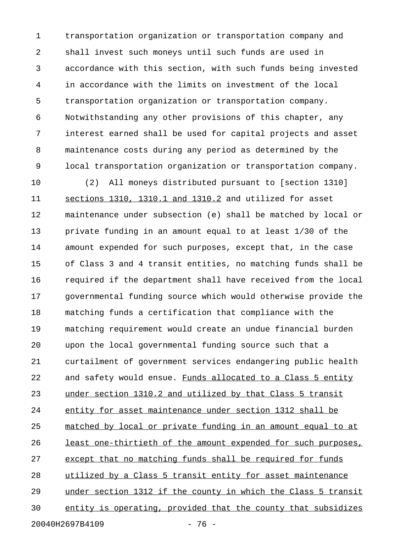1 transportation organization or transportation company and 2 shall invest such moneys until such funds are used in 3 accordance with this section, with such funds being invested 4 in accordance with the limits on investment of the local 5 transportation organization or transportation company. 6 Notwithstanding any other provisions of this chapter, any 7 interest earned shall be used for capital projects and asset 8 maintenance costs during any period as determined by the 9 local transportation organization or transportation company.

10 (2) All moneys distributed pursuant to [section 1310] 11 sections 1310, 1310.1 and 1310.2 and utilized for asset 12 maintenance under subsection (e) shall be matched by local or 13 private funding in an amount equal to at least 1/30 of the 14 amount expended for such purposes, except that, in the case 15 of Class 3 and 4 transit entities, no matching funds shall be 16 required if the department shall have received from the local 17 governmental funding source which would otherwise provide the 18 matching funds a certification that compliance with the 19 matching requirement would create an undue financial burden 20 upon the local governmental funding source such that a 21 curtailment of government services endangering public health 22 and safety would ensue. Funds allocated to a Class 5 entity 23 under section 1310.2 and utilized by that Class 5 transit 24 entity for asset maintenance under section 1312 shall be 25 matched by local or private funding in an amount equal to at 26 least one-thirtieth of the amount expended for such purposes, 27 except that no matching funds shall be required for funds 28 utilized by a Class 5 transit entity for asset maintenance 29 under section 1312 if the county in which the Class 5 transit 30 entity is operating, provided that the county that subsidizes 20040H2697B4109 - 76 -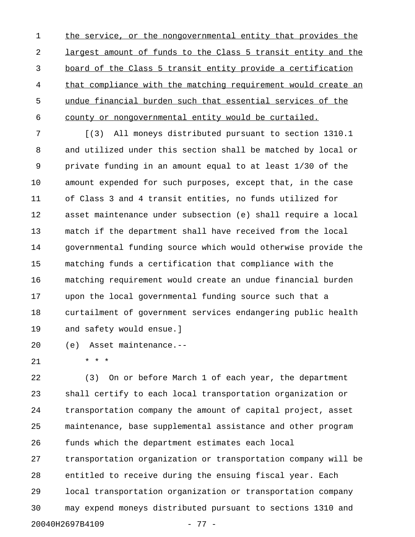1 the service, or the nongovernmental entity that provides the 2 largest amount of funds to the Class 5 transit entity and the 3 board of the Class 5 transit entity provide a certification 4 that compliance with the matching requirement would create an 5 undue financial burden such that essential services of the 6 county or nongovernmental entity would be curtailed.

7 [(3) All moneys distributed pursuant to section 1310.1 8 and utilized under this section shall be matched by local or 9 private funding in an amount equal to at least 1/30 of the 10 amount expended for such purposes, except that, in the case 11 of Class 3 and 4 transit entities, no funds utilized for 12 asset maintenance under subsection (e) shall require a local 13 match if the department shall have received from the local 14 governmental funding source which would otherwise provide the 15 matching funds a certification that compliance with the 16 matching requirement would create an undue financial burden 17 upon the local governmental funding source such that a 18 curtailment of government services endangering public health 19 and safety would ensue.]

20 (e) Asset maintenance.--

21 \* \* \*

22 (3) On or before March 1 of each year, the department 23 shall certify to each local transportation organization or 24 transportation company the amount of capital project, asset 25 maintenance, base supplemental assistance and other program 26 funds which the department estimates each local 27 transportation organization or transportation company will be 28 entitled to receive during the ensuing fiscal year. Each 29 local transportation organization or transportation company 30 may expend moneys distributed pursuant to sections 1310 and 20040H2697B4109 - 77 -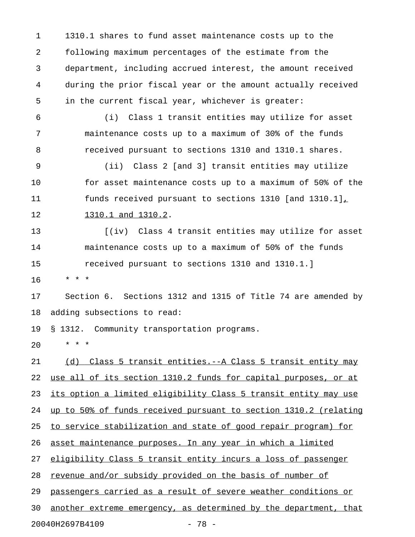1 1310.1 shares to fund asset maintenance costs up to the 2 following maximum percentages of the estimate from the 3 department, including accrued interest, the amount received 4 during the prior fiscal year or the amount actually received 5 in the current fiscal year, whichever is greater:

6 (i) Class 1 transit entities may utilize for asset 7 maintenance costs up to a maximum of 30% of the funds 8 received pursuant to sections 1310 and 1310.1 shares.

9 (ii) Class 2 [and 3] transit entities may utilize 10 for asset maintenance costs up to a maximum of 50% of the 11 funds received pursuant to sections 1310 [and 1310.1],

12 1310.1 and 1310.2.

13 [(iv) Class 4 transit entities may utilize for asset 14 maintenance costs up to a maximum of 50% of the funds 15 received pursuant to sections 1310 and 1310.1.]

16 \* \* \*

17 Section 6. Sections 1312 and 1315 of Title 74 are amended by 18 adding subsections to read:

19 § 1312. Community transportation programs.

20 \* \* \*

21 (d) Class 5 transit entities.--A Class 5 transit entity may 22 use all of its section 1310.2 funds for capital purposes, or at 23 its option a limited eligibility Class 5 transit entity may use 24 up to 50% of funds received pursuant to section 1310.2 (relating 25 to service stabilization and state of good repair program) for 26 asset maintenance purposes. In any year in which a limited 27 eligibility Class 5 transit entity incurs a loss of passenger 28 revenue and/or subsidy provided on the basis of number of 29 passengers carried as a result of severe weather conditions or 30 another extreme emergency, as determined by the department, that

20040H2697B4109 - 78 -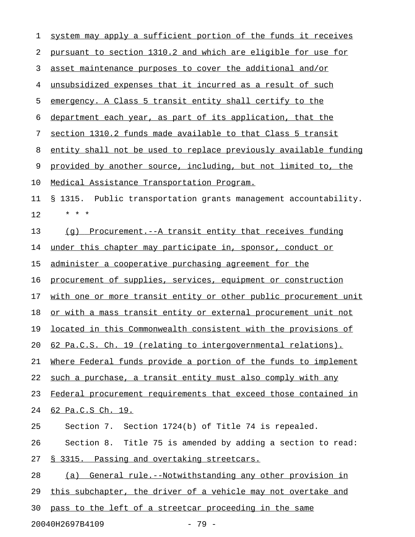| 1  | system may apply a sufficient portion of the funds it receives   |
|----|------------------------------------------------------------------|
| 2  | pursuant to section 1310.2 and which are eligible for use for    |
| 3  | asset maintenance purposes to cover the additional and/or        |
| 4  | unsubsidized expenses that it incurred as a result of such       |
| 5  | emergency. A Class 5 transit entity shall certify to the         |
| 6  | department each year, as part of its application, that the       |
| 7  | section 1310.2 funds made available to that Class 5 transit      |
| 8  | entity shall not be used to replace previously available funding |
| 9  | provided by another source, including, but not limited to, the   |
| 10 | Medical Assistance Transportation Program.                       |
| 11 | § 1315. Public transportation grants management accountability.  |
| 12 | $\star$<br>$\star$<br>$\star$                                    |
| 13 | Procurement.--A transit entity that receives funding<br>(q)      |
| 14 | under this chapter may participate in, sponsor, conduct or       |
| 15 | administer a cooperative purchasing agreement for the            |
| 16 | procurement of supplies, services, equipment or construction     |
| 17 | with one or more transit entity or other public procurement unit |
| 18 | or with a mass transit entity or external procurement unit not   |
| 19 | located in this Commonwealth consistent with the provisions of   |
| 20 | 62 Pa.C.S. Ch. 19 (relating to intergovernmental relations).     |
| 21 | Where Federal funds provide a portion of the funds to implement  |
| 22 | such a purchase, a transit entity must also comply with any      |
| 23 | Federal procurement requirements that exceed those contained in  |
| 24 | 62 Pa.C.S Ch. 19.                                                |
| 25 | Section 7. Section 1724(b) of Title 74 is repealed.              |
| 26 | Section 8. Title 75 is amended by adding a section to read:      |
| 27 | § 3315. Passing and overtaking streetcars.                       |
| 28 | (a) General rule.--Notwithstanding any other provision in        |
| 29 | this subchapter, the driver of a vehicle may not overtake and    |
| 30 | pass to the left of a streetcar proceeding in the same           |
|    |                                                                  |

20040H2697B4109 - 79 -